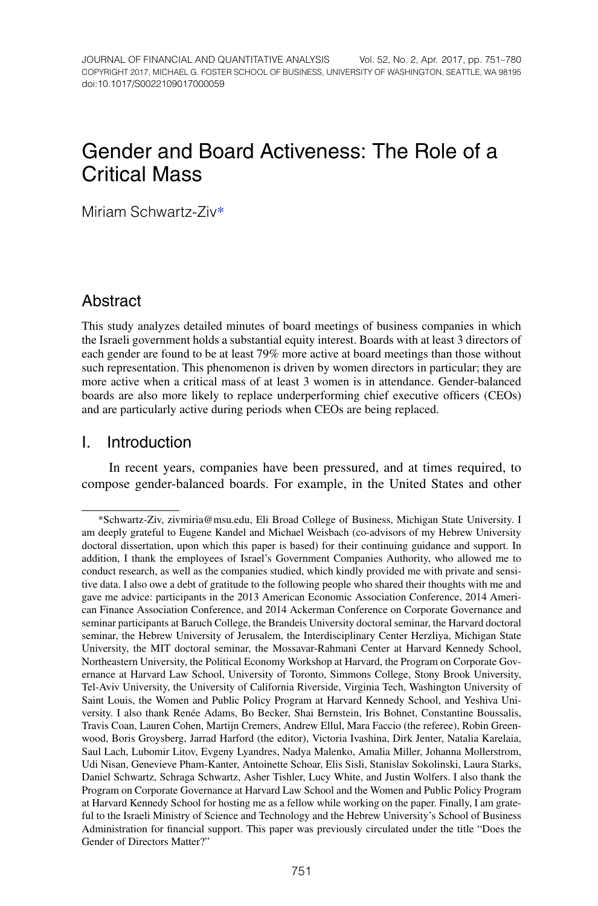# Gender and Board Activeness: The Role of a Critical Mass

Miriam Schwartz-Ziv[\\*](#page-0-0)

## Abstract

This study analyzes detailed minutes of board meetings of business companies in which the Israeli government holds a substantial equity interest. Boards with at least 3 directors of each gender are found to be at least 79% more active at board meetings than those without such representation. This phenomenon is driven by women directors in particular; they are more active when a critical mass of at least 3 women is in attendance. Gender-balanced boards are also more likely to replace underperforming chief executive officers (CEOs) and are particularly active during periods when CEOs are being replaced.

## I. Introduction

In recent years, companies have been pressured, and at times required, to compose gender-balanced boards. For example, in the United States and other

<span id="page-0-0"></span><sup>\*</sup>Schwartz-Ziv, [zivmiria@msu.edu,](mailto:zivmiria@msu.edu) Eli Broad College of Business, Michigan State University. I am deeply grateful to Eugene Kandel and Michael Weisbach (co-advisors of my Hebrew University doctoral dissertation, upon which this paper is based) for their continuing guidance and support. In addition, I thank the employees of Israel's Government Companies Authority, who allowed me to conduct research, as well as the companies studied, which kindly provided me with private and sensitive data. I also owe a debt of gratitude to the following people who shared their thoughts with me and gave me advice: participants in the 2013 American Economic Association Conference, 2014 American Finance Association Conference, and 2014 Ackerman Conference on Corporate Governance and seminar participants at Baruch College, the Brandeis University doctoral seminar, the Harvard doctoral seminar, the Hebrew University of Jerusalem, the Interdisciplinary Center Herzliya, Michigan State University, the MIT doctoral seminar, the Mossavar-Rahmani Center at Harvard Kennedy School, Northeastern University, the Political Economy Workshop at Harvard, the Program on Corporate Governance at Harvard Law School, University of Toronto, Simmons College, Stony Brook University, Tel-Aviv University, the University of California Riverside, Virginia Tech, Washington University of Saint Louis, the Women and Public Policy Program at Harvard Kennedy School, and Yeshiva University. I also thank Renée Adams, Bo Becker, Shai Bernstein, Iris Bohnet, Constantine Boussalis, Travis Coan, Lauren Cohen, Martijn Cremers, Andrew Ellul, Mara Faccio (the referee), Robin Greenwood, Boris Groysberg, Jarrad Harford (the editor), Victoria Ivashina, Dirk Jenter, Natalia Karelaia, Saul Lach, Lubomir Litov, Evgeny Lyandres, Nadya Malenko, Amalia Miller, Johanna Mollerstrom, Udi Nisan, Genevieve Pham-Kanter, Antoinette Schoar, Elis Sisli, Stanislav Sokolinski, Laura Starks, Daniel Schwartz, Schraga Schwartz, Asher Tishler, Lucy White, and Justin Wolfers. I also thank the Program on Corporate Governance at Harvard Law School and the Women and Public Policy Program at Harvard Kennedy School for hosting me as a fellow while working on the paper. Finally, I am grateful to the Israeli Ministry of Science and Technology and the Hebrew University's School of Business Administration for financial support. This paper was previously circulated under the title "Does the Gender of Directors Matter?"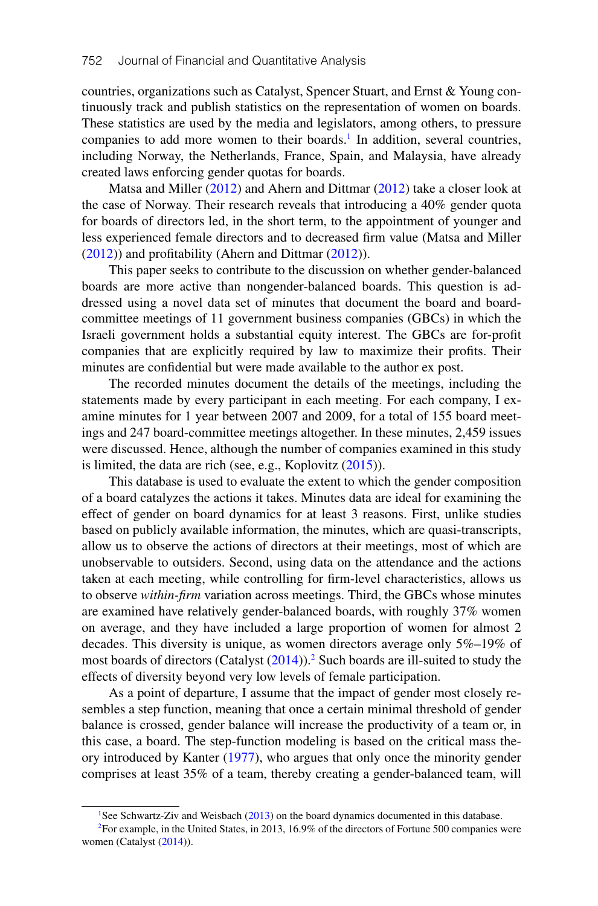<span id="page-1-2"></span>countries, organizations such as Catalyst, Spencer Stuart, and Ernst & Young continuously track and publish statistics on the representation of women on boards. These statistics are used by the media and legislators, among others, to pressure companies to add more women to their boards.<sup>[1](#page-1-0)</sup> In addition, several countries, including Norway, the Netherlands, France, Spain, and Malaysia, have already created laws enforcing gender quotas for boards.

Matsa and Miller [\(2012\)](#page-28-0) and Ahern and Dittmar [\(2012\)](#page-27-0) take a closer look at the case of Norway. Their research reveals that introducing a 40% gender quota for boards of directors led, in the short term, to the appointment of younger and less experienced female directors and to decreased firm value (Matsa and Miller [\(2012\)](#page-28-0)) and profitability (Ahern and Dittmar [\(2012\)](#page-27-0)).

This paper seeks to contribute to the discussion on whether gender-balanced boards are more active than nongender-balanced boards. This question is addressed using a novel data set of minutes that document the board and boardcommittee meetings of 11 government business companies (GBCs) in which the Israeli government holds a substantial equity interest. The GBCs are for-profit companies that are explicitly required by law to maximize their profits. Their minutes are confidential but were made available to the author ex post.

The recorded minutes document the details of the meetings, including the statements made by every participant in each meeting. For each company, I examine minutes for 1 year between 2007 and 2009, for a total of 155 board meetings and 247 board-committee meetings altogether. In these minutes, 2,459 issues were discussed. Hence, although the number of companies examined in this study is limited, the data are rich (see, e.g., Koplovitz [\(2015\)](#page-28-1)).

This database is used to evaluate the extent to which the gender composition of a board catalyzes the actions it takes. Minutes data are ideal for examining the effect of gender on board dynamics for at least 3 reasons. First, unlike studies based on publicly available information, the minutes, which are quasi-transcripts, allow us to observe the actions of directors at their meetings, most of which are unobservable to outsiders. Second, using data on the attendance and the actions taken at each meeting, while controlling for firm-level characteristics, allows us to observe *within-firm* variation across meetings. Third, the GBCs whose minutes are examined have relatively gender-balanced boards, with roughly 37% women on average, and they have included a large proportion of women for almost 2 decades. This diversity is unique, as women directors average only 5%–19% of most boards of directors (Catalyst  $(2014)$ ).<sup>[2](#page-1-1)</sup> Such boards are ill-suited to study the effects of diversity beyond very low levels of female participation.

<span id="page-1-3"></span>As a point of departure, I assume that the impact of gender most closely resembles a step function, meaning that once a certain minimal threshold of gender balance is crossed, gender balance will increase the productivity of a team or, in this case, a board. The step-function modeling is based on the critical mass theory introduced by Kanter [\(1977\)](#page-28-3), who argues that only once the minority gender comprises at least 35% of a team, thereby creating a gender-balanced team, will

<span id="page-1-1"></span><span id="page-1-0"></span><sup>&</sup>lt;sup>[1](#page-1-2)</sup>See Schwartz-Ziv and Weisbach  $(2013)$  on the board dynamics documented in this database.

[<sup>2</sup>](#page-1-3)For example, in the United States, in 2013, 16.9% of the directors of Fortune 500 companies were women (Catalyst [\(2014\)](#page-28-2)).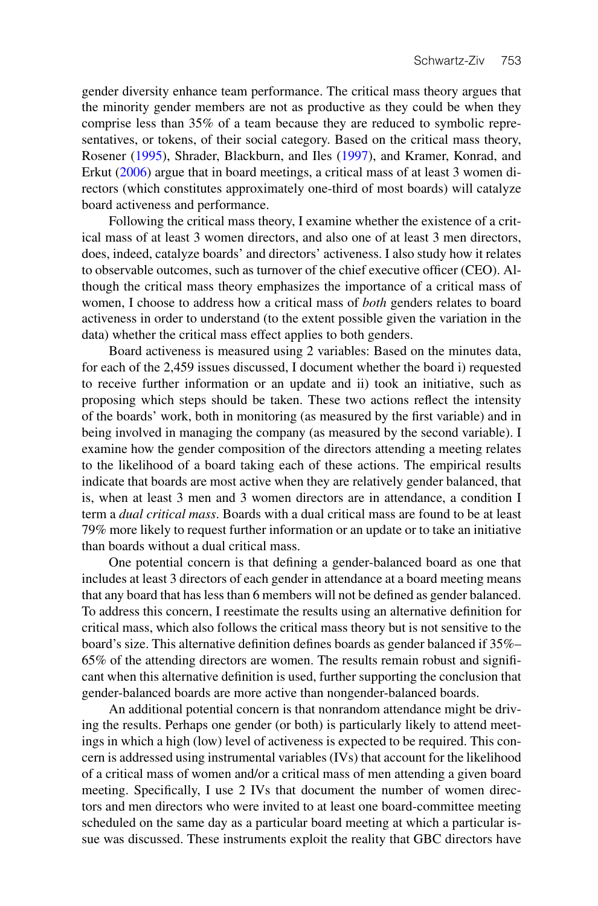gender diversity enhance team performance. The critical mass theory argues that the minority gender members are not as productive as they could be when they comprise less than 35% of a team because they are reduced to symbolic representatives, or tokens, of their social category. Based on the critical mass theory, Rosener [\(1995\)](#page-28-4), Shrader, Blackburn, and Iles [\(1997\)](#page-29-1), and Kramer, Konrad, and Erkut [\(2006\)](#page-28-5) argue that in board meetings, a critical mass of at least 3 women directors (which constitutes approximately one-third of most boards) will catalyze board activeness and performance.

Following the critical mass theory, I examine whether the existence of a critical mass of at least 3 women directors, and also one of at least 3 men directors, does, indeed, catalyze boards' and directors' activeness. I also study how it relates to observable outcomes, such as turnover of the chief executive officer (CEO). Although the critical mass theory emphasizes the importance of a critical mass of women, I choose to address how a critical mass of *both* genders relates to board activeness in order to understand (to the extent possible given the variation in the data) whether the critical mass effect applies to both genders.

Board activeness is measured using 2 variables: Based on the minutes data, for each of the 2,459 issues discussed, I document whether the board i) requested to receive further information or an update and ii) took an initiative, such as proposing which steps should be taken. These two actions reflect the intensity of the boards' work, both in monitoring (as measured by the first variable) and in being involved in managing the company (as measured by the second variable). I examine how the gender composition of the directors attending a meeting relates to the likelihood of a board taking each of these actions. The empirical results indicate that boards are most active when they are relatively gender balanced, that is, when at least 3 men and 3 women directors are in attendance, a condition I term a *dual critical mass*. Boards with a dual critical mass are found to be at least 79% more likely to request further information or an update or to take an initiative than boards without a dual critical mass.

One potential concern is that defining a gender-balanced board as one that includes at least 3 directors of each gender in attendance at a board meeting means that any board that has less than 6 members will not be defined as gender balanced. To address this concern, I reestimate the results using an alternative definition for critical mass, which also follows the critical mass theory but is not sensitive to the board's size. This alternative definition defines boards as gender balanced if 35%– 65% of the attending directors are women. The results remain robust and significant when this alternative definition is used, further supporting the conclusion that gender-balanced boards are more active than nongender-balanced boards.

An additional potential concern is that nonrandom attendance might be driving the results. Perhaps one gender (or both) is particularly likely to attend meetings in which a high (low) level of activeness is expected to be required. This concern is addressed using instrumental variables (IVs) that account for the likelihood of a critical mass of women and/or a critical mass of men attending a given board meeting. Specifically, I use 2 IVs that document the number of women directors and men directors who were invited to at least one board-committee meeting scheduled on the same day as a particular board meeting at which a particular issue was discussed. These instruments exploit the reality that GBC directors have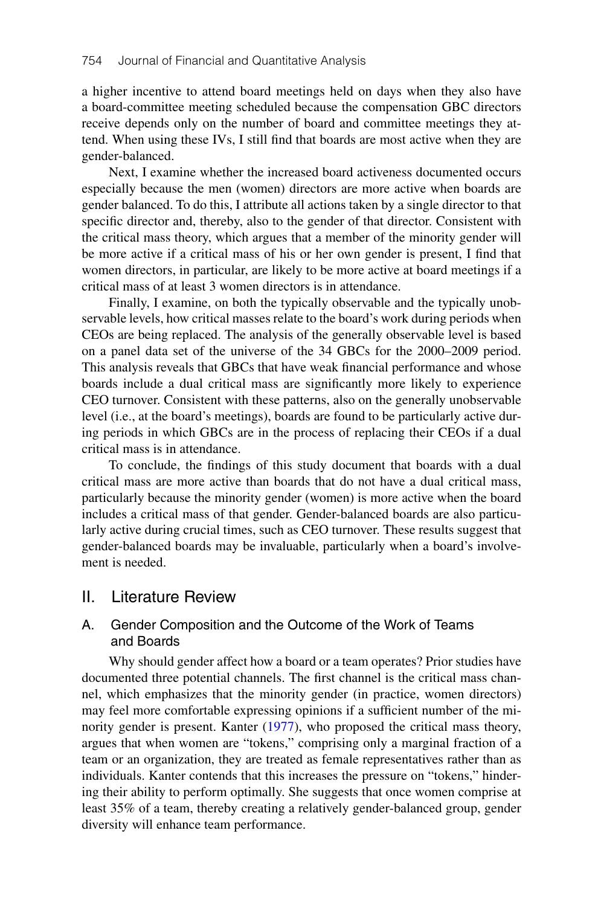a higher incentive to attend board meetings held on days when they also have a board-committee meeting scheduled because the compensation GBC directors receive depends only on the number of board and committee meetings they attend. When using these IVs, I still find that boards are most active when they are gender-balanced.

Next, I examine whether the increased board activeness documented occurs especially because the men (women) directors are more active when boards are gender balanced. To do this, I attribute all actions taken by a single director to that specific director and, thereby, also to the gender of that director. Consistent with the critical mass theory, which argues that a member of the minority gender will be more active if a critical mass of his or her own gender is present, I find that women directors, in particular, are likely to be more active at board meetings if a critical mass of at least 3 women directors is in attendance.

Finally, I examine, on both the typically observable and the typically unobservable levels, how critical masses relate to the board's work during periods when CEOs are being replaced. The analysis of the generally observable level is based on a panel data set of the universe of the 34 GBCs for the 2000–2009 period. This analysis reveals that GBCs that have weak financial performance and whose boards include a dual critical mass are significantly more likely to experience CEO turnover. Consistent with these patterns, also on the generally unobservable level (i.e., at the board's meetings), boards are found to be particularly active during periods in which GBCs are in the process of replacing their CEOs if a dual critical mass is in attendance.

To conclude, the findings of this study document that boards with a dual critical mass are more active than boards that do not have a dual critical mass, particularly because the minority gender (women) is more active when the board includes a critical mass of that gender. Gender-balanced boards are also particularly active during crucial times, such as CEO turnover. These results suggest that gender-balanced boards may be invaluable, particularly when a board's involvement is needed.

### <span id="page-3-0"></span>II. Literature Review

### <span id="page-3-1"></span>A. Gender Composition and the Outcome of the Work of Teams and Boards

Why should gender affect how a board or a team operates? Prior studies have documented three potential channels. The first channel is the critical mass channel, which emphasizes that the minority gender (in practice, women directors) may feel more comfortable expressing opinions if a sufficient number of the minority gender is present. Kanter [\(1977\)](#page-28-3), who proposed the critical mass theory, argues that when women are "tokens," comprising only a marginal fraction of a team or an organization, they are treated as female representatives rather than as individuals. Kanter contends that this increases the pressure on "tokens," hindering their ability to perform optimally. She suggests that once women comprise at least 35% of a team, thereby creating a relatively gender-balanced group, gender diversity will enhance team performance.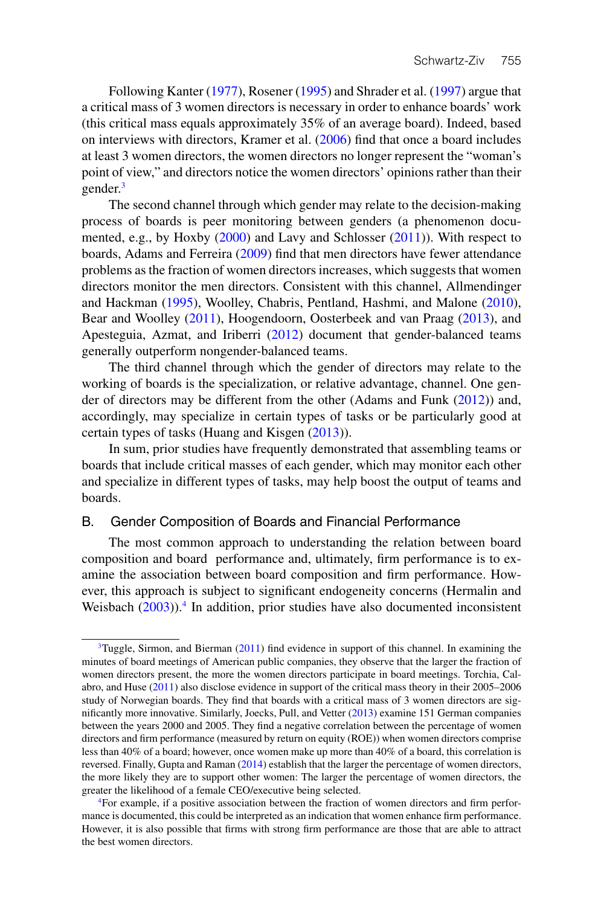Following Kanter [\(1977\)](#page-28-3), Rosener [\(1995\)](#page-28-4) and Shrader et al. [\(1997\)](#page-29-1) argue that a critical mass of 3 women directors is necessary in order to enhance boards' work (this critical mass equals approximately 35% of an average board). Indeed, based on interviews with directors, Kramer et al. [\(2006\)](#page-28-5) find that once a board includes at least 3 women directors, the women directors no longer represent the "woman's point of view," and directors notice the women directors' opinions rather than their gender.[3](#page-4-0)

<span id="page-4-2"></span>The second channel through which gender may relate to the decision-making process of boards is peer monitoring between genders (a phenomenon documented, e.g., by Hoxby [\(2000\)](#page-28-6) and Lavy and Schlosser [\(2011\)](#page-28-7)). With respect to boards, Adams and Ferreira [\(2009\)](#page-27-1) find that men directors have fewer attendance problems as the fraction of women directors increases, which suggests that women directors monitor the men directors. Consistent with this channel, Allmendinger and Hackman [\(1995\)](#page-27-2), Woolley, Chabris, Pentland, Hashmi, and Malone [\(2010\)](#page-29-2), Bear and Woolley [\(2011\)](#page-28-8), Hoogendoorn, Oosterbeek and van Praag [\(2013\)](#page-28-9), and Apesteguia, Azmat, and Iriberri [\(2012\)](#page-28-10) document that gender-balanced teams generally outperform nongender-balanced teams.

The third channel through which the gender of directors may relate to the working of boards is the specialization, or relative advantage, channel. One gender of directors may be different from the other (Adams and Funk [\(2012\)](#page-27-3)) and, accordingly, may specialize in certain types of tasks or be particularly good at certain types of tasks (Huang and Kisgen [\(2013\)](#page-28-11)).

In sum, prior studies have frequently demonstrated that assembling teams or boards that include critical masses of each gender, which may monitor each other and specialize in different types of tasks, may help boost the output of teams and boards.

### B. Gender Composition of Boards and Financial Performance

The most common approach to understanding the relation between board composition and board performance and, ultimately, firm performance is to examine the association between board composition and firm performance. However, this approach is subject to significant endogeneity concerns (Hermalin and Weisbach [\(2003\)](#page-28-12)).<sup>[4](#page-4-1)</sup> In addition, prior studies have also documented inconsistent

<span id="page-4-3"></span><span id="page-4-0"></span> $3$ Tuggle, Sirmon, and Bierman [\(2011\)](#page-29-3) find evidence in support of this channel. In examining the minutes of board meetings of American public companies, they observe that the larger the fraction of women directors present, the more the women directors participate in board meetings. Torchia, Calabro, and Huse [\(2011\)](#page-29-4) also disclose evidence in support of the critical mass theory in their 2005–2006 study of Norwegian boards. They find that boards with a critical mass of 3 women directors are significantly more innovative. Similarly, Joecks, Pull, and Vetter [\(2013\)](#page-28-13) examine 151 German companies between the years 2000 and 2005. They find a negative correlation between the percentage of women directors and firm performance (measured by return on equity (ROE)) when women directors comprise less than 40% of a board; however, once women make up more than 40% of a board, this correlation is reversed. Finally, Gupta and Raman [\(2014\)](#page-28-14) establish that the larger the percentage of women directors, the more likely they are to support other women: The larger the percentage of women directors, the greater the likelihood of a female CEO/executive being selected.

<span id="page-4-1"></span>[<sup>4</sup>](#page-4-3)For example, if a positive association between the fraction of women directors and firm performance is documented, this could be interpreted as an indication that women enhance firm performance. However, it is also possible that firms with strong firm performance are those that are able to attract the best women directors.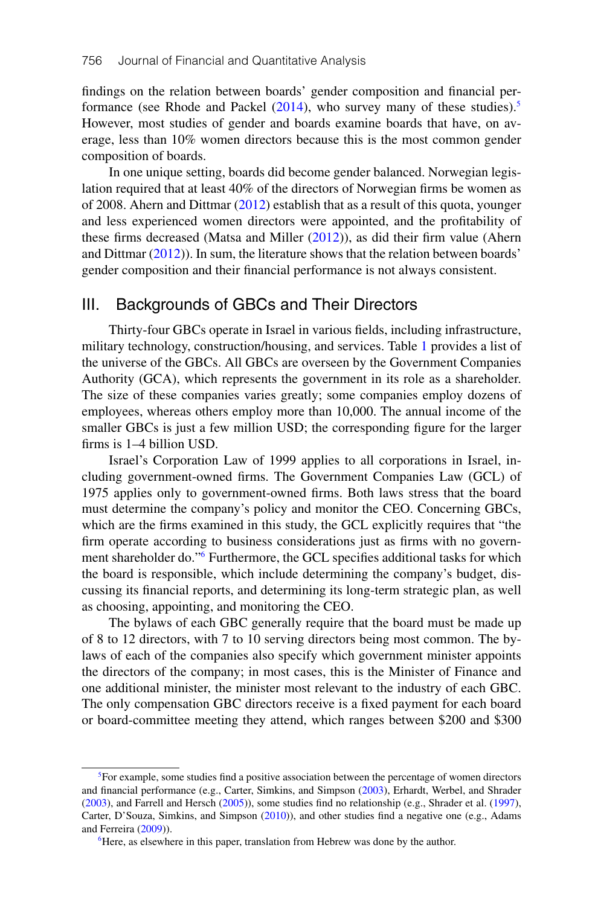<span id="page-5-2"></span>findings on the relation between boards' gender composition and financial performance (see Rhode and Packel  $(2014)$ , who survey many of these studies).<sup>[5](#page-5-0)</sup> However, most studies of gender and boards examine boards that have, on average, less than 10% women directors because this is the most common gender composition of boards.

In one unique setting, boards did become gender balanced. Norwegian legislation required that at least 40% of the directors of Norwegian firms be women as of 2008. Ahern and Dittmar [\(2012\)](#page-27-0) establish that as a result of this quota, younger and less experienced women directors were appointed, and the profitability of these firms decreased (Matsa and Miller [\(2012\)](#page-28-0)), as did their firm value (Ahern and Dittmar [\(2012\)](#page-27-0)). In sum, the literature shows that the relation between boards' gender composition and their financial performance is not always consistent.

## <span id="page-5-4"></span>III. Backgrounds of GBCs and Their Directors

Thirty-four GBCs operate in Israel in various fields, including infrastructure, military technology, construction/housing, and services. Table [1](#page-6-0) provides a list of the universe of the GBCs. All GBCs are overseen by the Government Companies Authority (GCA), which represents the government in its role as a shareholder. The size of these companies varies greatly; some companies employ dozens of employees, whereas others employ more than 10,000. The annual income of the smaller GBCs is just a few million USD; the corresponding figure for the larger firms is 1–4 billion USD.

Israel's Corporation Law of 1999 applies to all corporations in Israel, including government-owned firms. The Government Companies Law (GCL) of 1975 applies only to government-owned firms. Both laws stress that the board must determine the company's policy and monitor the CEO. Concerning GBCs, which are the firms examined in this study, the GCL explicitly requires that "the firm operate according to business considerations just as firms with no government shareholder do."[6](#page-5-1) Furthermore, the GCL specifies additional tasks for which the board is responsible, which include determining the company's budget, discussing its financial reports, and determining its long-term strategic plan, as well as choosing, appointing, and monitoring the CEO.

<span id="page-5-3"></span>The bylaws of each GBC generally require that the board must be made up of 8 to 12 directors, with 7 to 10 serving directors being most common. The bylaws of each of the companies also specify which government minister appoints the directors of the company; in most cases, this is the Minister of Finance and one additional minister, the minister most relevant to the industry of each GBC. The only compensation GBC directors receive is a fixed payment for each board or board-committee meeting they attend, which ranges between \$200 and \$300

<span id="page-5-0"></span><sup>&</sup>lt;sup>[5](#page-5-2)</sup>For example, some studies find a positive association between the percentage of women directors and financial performance (e.g., Carter, Simkins, and Simpson [\(2003\)](#page-28-16), Erhardt, Werbel, and Shrader [\(2003\)](#page-28-17), and Farrell and Hersch [\(2005\)](#page-28-18)), some studies find no relationship (e.g., Shrader et al. [\(1997\)](#page-29-1), Carter, D'Souza, Simkins, and Simpson [\(2010\)](#page-28-19)), and other studies find a negative one (e.g., Adams and Ferreira [\(2009\)](#page-27-1)).

<span id="page-5-1"></span><sup>&</sup>lt;sup>[6](#page-5-3)</sup>Here, as elsewhere in this paper, translation from Hebrew was done by the author.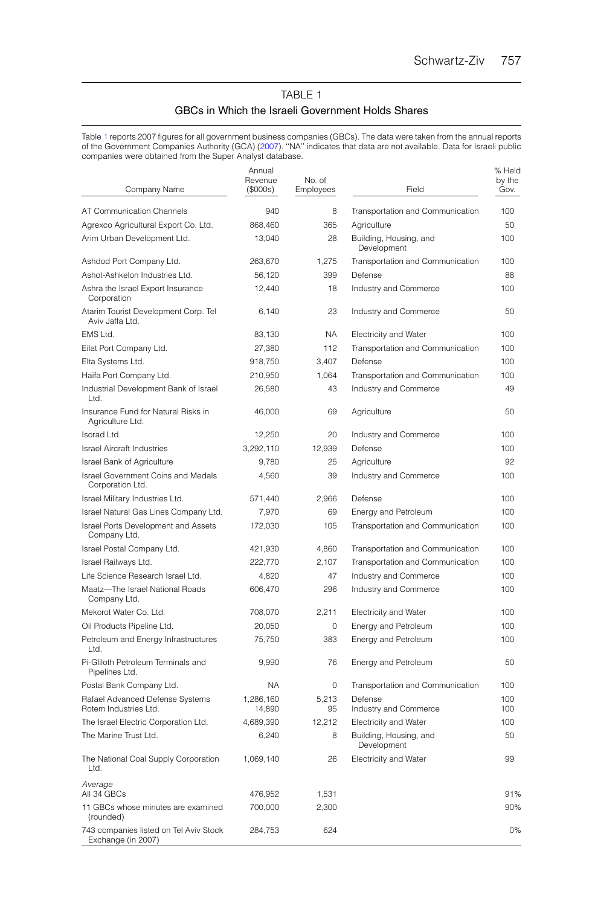#### TABLE 1 GBCs in Which the Israeli Government Holds Shares

<span id="page-6-0"></span>Table [1](#page-6-0) reports 2007 tigures for all government business companies (GBCs). The data were taken from the annual reports<br>of the Government Companies Authority (GCA) [\(2007\)](#page-28-20). "NA" indicates that data are not available. Data fo

| Company Name                                                  | Annual<br>Revenue<br>(\$000s) | No. of<br>Employees | Field                                 | % Held<br>by the<br>Gov. |
|---------------------------------------------------------------|-------------------------------|---------------------|---------------------------------------|--------------------------|
| AT Communication Channels                                     | 940                           | 8                   | Transportation and Communication      | 100                      |
| Agrexco Agricultural Export Co. Ltd.                          | 868,460                       | 365                 | Agriculture                           | 50                       |
| Arim Urban Development Ltd.                                   | 13,040                        | 28                  | Building, Housing, and<br>Development | 100                      |
| Ashdod Port Company Ltd.                                      | 263,670                       | 1,275               | Transportation and Communication      | 100                      |
| Ashot-Ashkelon Industries Ltd.                                | 56,120                        | 399                 | Defense                               | 88                       |
| Ashra the Israel Export Insurance<br>Corporation              | 12,440                        | 18                  | Industry and Commerce                 | 100                      |
| Atarim Tourist Development Corp. Tel<br>Aviv Jaffa Ltd.       | 6,140                         | 23                  | Industry and Commerce                 | 50                       |
| EMS Ltd.                                                      | 83,130                        | <b>NA</b>           | Electricity and Water                 | 100                      |
| Eilat Port Company Ltd.                                       | 27,380                        | 112                 | Transportation and Communication      | 100                      |
| Elta Systems Ltd.                                             | 918,750                       | 3,407               | Defense                               | 100                      |
| Haifa Port Company Ltd.                                       | 210,950                       | 1,064               | Transportation and Communication      | 100                      |
| Industrial Development Bank of Israel<br>Ltd.                 | 26,580                        | 43                  | Industry and Commerce                 | 49                       |
| Insurance Fund for Natural Risks in<br>Agriculture Ltd.       | 46,000                        | 69                  | Agriculture                           | 50                       |
| Isorad Ltd.                                                   | 12,250                        | 20                  | Industry and Commerce                 | 100                      |
| <b>Israel Aircraft Industries</b>                             | 3,292,110                     | 12,939              | Defense                               | 100                      |
| <b>Israel Bank of Agriculture</b>                             | 9,780                         | 25                  | Agriculture                           | 92                       |
| <b>Israel Government Coins and Medals</b><br>Corporation Ltd. | 4,560                         | 39                  | Industry and Commerce                 | 100                      |
| Israel Military Industries Ltd.                               | 571,440                       | 2,966               | Defense                               | 100                      |
| Israel Natural Gas Lines Company Ltd.                         | 7,970                         | 69                  | Energy and Petroleum                  | 100                      |
| Israel Ports Development and Assets<br>Company Ltd.           | 172,030                       | 105                 | Transportation and Communication      | 100                      |
| Israel Postal Company Ltd.                                    | 421,930                       | 4,860               | Transportation and Communication      | 100                      |
| Israel Railways Ltd.                                          | 222,770                       | 2,107               | Transportation and Communication      | 100                      |
| Life Science Research Israel Ltd.                             | 4,820                         | 47                  | Industry and Commerce                 | 100                      |
| Maatz-The Israel National Roads<br>Company Ltd.               | 606,470                       | 296                 | Industry and Commerce                 | 100                      |
| Mekorot Water Co. Ltd.                                        | 708,070                       | 2,211               | Electricity and Water                 | 100                      |
| Oil Products Pipeline Ltd.                                    | 20,050                        | $\circ$             | Energy and Petroleum                  | 100                      |
| Petroleum and Energy Infrastructures<br>l td                  | 75,750                        | 383                 | Energy and Petroleum                  | 100                      |
| Pi-Gliloth Petroleum Terminals and<br>Pipelines Ltd.          | 9,990                         | 76                  | Energy and Petroleum                  | 50                       |
| Postal Bank Company Ltd.                                      | <b>NA</b>                     | $\circ$             | Transportation and Communication      | 100                      |
| Rafael Advanced Defense Systems<br>Rotem Industries Ltd.      | 1,286,160<br>14,890           | 5,213<br>95         | Defense<br>Industry and Commerce      | 100<br>100               |
| The Israel Electric Corporation Ltd.                          | 4,689,390                     | 12,212              | <b>Electricity and Water</b>          | 100                      |
| The Marine Trust Ltd.                                         | 6,240                         | 8                   | Building, Housing, and<br>Development | 50                       |
| The National Coal Supply Corporation<br>Ltd.                  | 1,069,140                     | 26                  | Electricity and Water                 | 99                       |
| Average<br>All 34 GBCs                                        | 476,952                       | 1,531               |                                       | 91%                      |
| 11 GBCs whose minutes are examined<br>(rounded)               | 700,000                       | 2,300               |                                       | 90%                      |
| 743 companies listed on Tel Aviv Stock<br>Exchange (in 2007)  | 284,753                       | 624                 |                                       | 0%                       |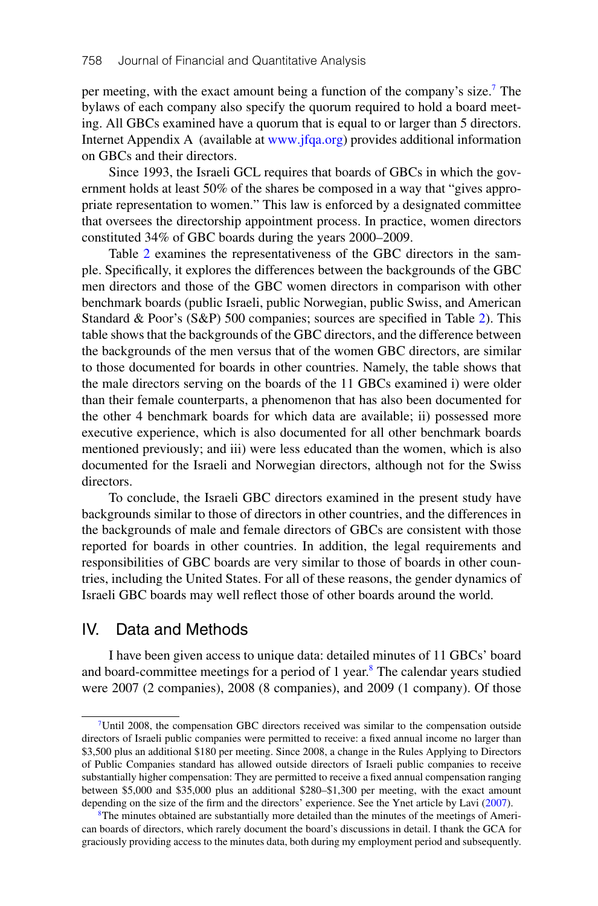<span id="page-7-2"></span>per meeting, with the exact amount being a function of the company's size.[7](#page-7-0) The bylaws of each company also specify the quorum required to hold a board meeting. All GBCs examined have a quorum that is equal to or larger than 5 directors. Internet Appendix A (available at [www.jfqa.org\)](www.jfqa.org) provides additional information on GBCs and their directors.

Since 1993, the Israeli GCL requires that boards of GBCs in which the government holds at least 50% of the shares be composed in a way that "gives appropriate representation to women." This law is enforced by a designated committee that oversees the directorship appointment process. In practice, women directors constituted 34% of GBC boards during the years 2000–2009.

Table [2](#page-8-0) examines the representativeness of the GBC directors in the sample. Specifically, it explores the differences between the backgrounds of the GBC men directors and those of the GBC women directors in comparison with other benchmark boards (public Israeli, public Norwegian, public Swiss, and American Standard & Poor's (S&P) 500 companies; sources are specified in Table [2\)](#page-8-0). This table shows that the backgrounds of the GBC directors, and the difference between the backgrounds of the men versus that of the women GBC directors, are similar to those documented for boards in other countries. Namely, the table shows that the male directors serving on the boards of the 11 GBCs examined i) were older than their female counterparts, a phenomenon that has also been documented for the other 4 benchmark boards for which data are available; ii) possessed more executive experience, which is also documented for all other benchmark boards mentioned previously; and iii) were less educated than the women, which is also documented for the Israeli and Norwegian directors, although not for the Swiss directors.

To conclude, the Israeli GBC directors examined in the present study have backgrounds similar to those of directors in other countries, and the differences in the backgrounds of male and female directors of GBCs are consistent with those reported for boards in other countries. In addition, the legal requirements and responsibilities of GBC boards are very similar to those of boards in other countries, including the United States. For all of these reasons, the gender dynamics of Israeli GBC boards may well reflect those of other boards around the world.

## <span id="page-7-4"></span>IV. Data and Methods

<span id="page-7-3"></span>I have been given access to unique data: detailed minutes of 11 GBCs' board and board-committee meetings for a period of 1 year.<sup>[8](#page-7-1)</sup> The calendar years studied were 2007 (2 companies), 2008 (8 companies), and 2009 (1 company). Of those

<span id="page-7-0"></span> $7$ Until 2008, the compensation GBC directors received was similar to the compensation outside directors of Israeli public companies were permitted to receive: a fixed annual income no larger than \$3,500 plus an additional \$180 per meeting. Since 2008, a change in the Rules Applying to Directors of Public Companies standard has allowed outside directors of Israeli public companies to receive substantially higher compensation: They are permitted to receive a fixed annual compensation ranging between \$5,000 and \$35,000 plus an additional \$280–\$1,300 per meeting, with the exact amount depending on the size of the firm and the directors' experience. See the Ynet article by Lavi [\(2007\)](#page-28-21).

<span id="page-7-1"></span>[<sup>8</sup>](#page-7-3)The minutes obtained are substantially more detailed than the minutes of the meetings of American boards of directors, which rarely document the board's discussions in detail. I thank the GCA for graciously providing access to the minutes data, both during my employment period and subsequently.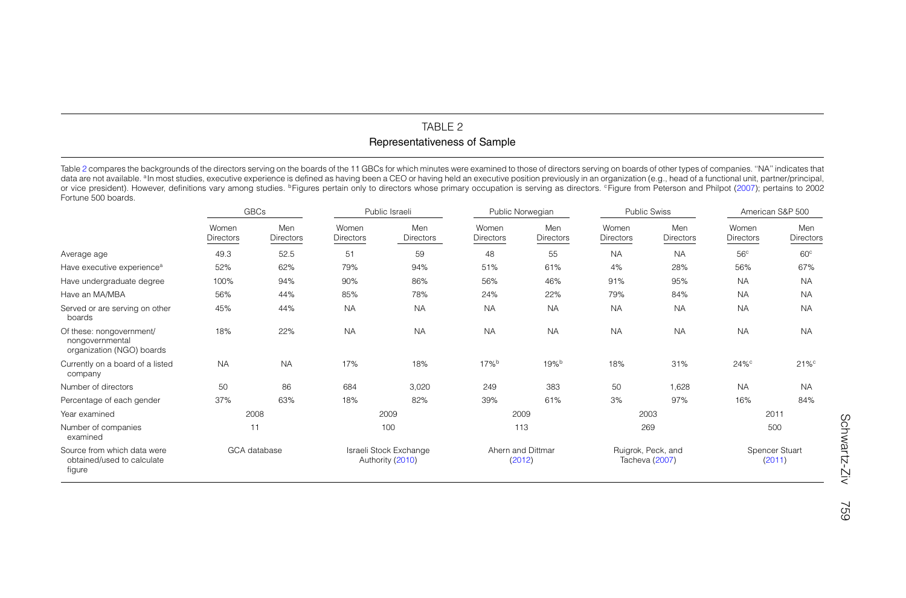#### <span id="page-8-1"></span><span id="page-8-0"></span>TABLE 2Representativeness of Sample

Table [2](#page-8-1) compares the backgrounds of the directors serving on the boards of the <sup>11</sup> GBCs for which minutes were examined to those of directors serving on boards of other types of companies. ''NA'' indicates that data are not available. <sup>a</sup>ln most studies, executive experience is defined as having been a CEO or having held an executive position previously in an organization (e.g., head of a functional unit, partner/principal<br>or vic Fortune 500 boards.

|                                                                          | <b>GBCs</b><br>Public Israeli |                         |                    | Public Norwegian                           |                    | Public Swiss                |                    | American S&P 500                     |                    |                          |
|--------------------------------------------------------------------------|-------------------------------|-------------------------|--------------------|--------------------------------------------|--------------------|-----------------------------|--------------------|--------------------------------------|--------------------|--------------------------|
|                                                                          | Women<br>Directors            | Men<br><b>Directors</b> | Women<br>Directors | Men<br>Directors                           | Women<br>Directors | Men<br>Directors            | Women<br>Directors | Men<br>Directors                     | Women<br>Directors | Men<br>Directors         |
| Average age                                                              | 49.3                          | 52.5                    | 51                 | 59                                         | 48                 | 55                          | <b>NA</b>          | <b>NA</b>                            | $56^{\circ}$       | $60^\circ$               |
| Have executive experience <sup>a</sup>                                   | 52%                           | 62%                     | 79%                | 94%                                        | 51%                | 61%                         | 4%                 | 28%                                  | 56%                | 67%                      |
| Have undergraduate degree                                                | 100%                          | 94%                     | 90%                | 86%                                        | 56%                | 46%                         | 91%                | 95%                                  | <b>NA</b>          | <b>NA</b>                |
| Have an MA/MBA                                                           | 56%                           | 44%                     | 85%                | 78%                                        | 24%                | 22%                         | 79%                | 84%                                  | <b>NA</b>          | <b>NA</b>                |
| Served or are serving on other<br>boards                                 | 45%                           | 44%                     | <b>NA</b>          | <b>NA</b>                                  | <b>NA</b>          | <b>NA</b>                   | <b>NA</b>          | <b>NA</b>                            | <b>NA</b>          | <b>NA</b>                |
| Of these: nongovernment/<br>nongovernmental<br>organization (NGO) boards | 18%                           | 22%                     | <b>NA</b>          | <b>NA</b>                                  | <b>NA</b>          | <b>NA</b>                   | <b>NA</b>          | <b>NA</b>                            | <b>NA</b>          | <b>NA</b>                |
| Currently on a board of a listed<br>company                              | <b>NA</b>                     | <b>NA</b>               | 17%                | 18%                                        | 17%b               | 19%b                        | 18%                | 31%                                  | $24\%$ °           | $21\%$                   |
| Number of directors                                                      | 50                            | 86                      | 684                | 3,020                                      | 249                | 383                         | 50                 | 1,628                                | <b>NA</b>          | <b>NA</b>                |
| Percentage of each gender                                                | 37%                           | 63%                     | 18%                | 82%                                        | 39%                | 61%                         | 3%                 | 97%                                  | 16%                | 84%                      |
| Year examined                                                            |                               | 2008                    |                    | 2009                                       |                    | 2009                        |                    | 2003                                 |                    | 2011                     |
| Number of companies<br>examined                                          |                               | 11                      |                    | 100                                        |                    | 113                         |                    | 269                                  |                    | 500                      |
| Source from which data were<br>obtained/used to calculate<br>figure      |                               | GCA database            |                    | Israeli Stock Exchange<br>Authority (2010) |                    | Ahern and Dittmar<br>(2012) |                    | Ruigrok, Peck, and<br>Tacheva (2007) |                    | Spencer Stuart<br>(2011) |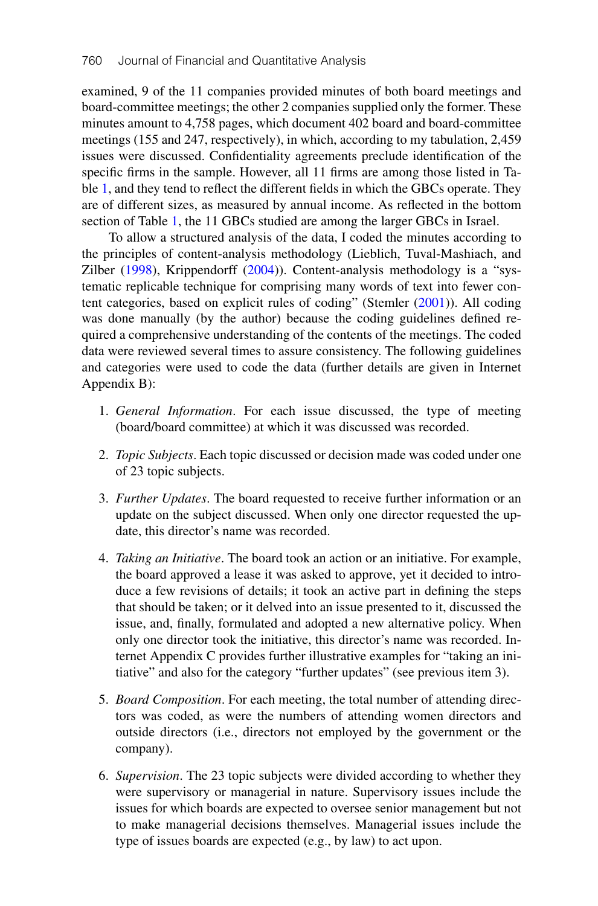examined, 9 of the 11 companies provided minutes of both board meetings and board-committee meetings; the other 2 companies supplied only the former. These minutes amount to 4,758 pages, which document 402 board and board-committee meetings (155 and 247, respectively), in which, according to my tabulation, 2,459 issues were discussed. Confidentiality agreements preclude identification of the specific firms in the sample. However, all 11 firms are among those listed in Table [1,](#page-6-0) and they tend to reflect the different fields in which the GBCs operate. They are of different sizes, as measured by annual income. As reflected in the bottom section of Table [1,](#page-6-0) the 11 GBCs studied are among the larger GBCs in Israel.

To allow a structured analysis of the data, I coded the minutes according to the principles of content-analysis methodology (Lieblich, Tuval-Mashiach, and Zilber [\(1998\)](#page-28-25), Krippendorff [\(2004\)](#page-28-26)). Content-analysis methodology is a "systematic replicable technique for comprising many words of text into fewer content categories, based on explicit rules of coding" (Stemler [\(2001\)](#page-29-6)). All coding was done manually (by the author) because the coding guidelines defined required a comprehensive understanding of the contents of the meetings. The coded data were reviewed several times to assure consistency. The following guidelines and categories were used to code the data (further details are given in Internet Appendix B):

- 1. *General Information*. For each issue discussed, the type of meeting (board/board committee) at which it was discussed was recorded.
- 2. *Topic Subjects*. Each topic discussed or decision made was coded under one of 23 topic subjects.
- 3. *Further Updates*. The board requested to receive further information or an update on the subject discussed. When only one director requested the update, this director's name was recorded.
- 4. *Taking an Initiative*. The board took an action or an initiative. For example, the board approved a lease it was asked to approve, yet it decided to introduce a few revisions of details; it took an active part in defining the steps that should be taken; or it delved into an issue presented to it, discussed the issue, and, finally, formulated and adopted a new alternative policy. When only one director took the initiative, this director's name was recorded. Internet Appendix C provides further illustrative examples for "taking an initiative" and also for the category "further updates" (see previous item 3).
- 5. *Board Composition*. For each meeting, the total number of attending directors was coded, as were the numbers of attending women directors and outside directors (i.e., directors not employed by the government or the company).
- 6. *Supervision*. The 23 topic subjects were divided according to whether they were supervisory or managerial in nature. Supervisory issues include the issues for which boards are expected to oversee senior management but not to make managerial decisions themselves. Managerial issues include the type of issues boards are expected (e.g., by law) to act upon.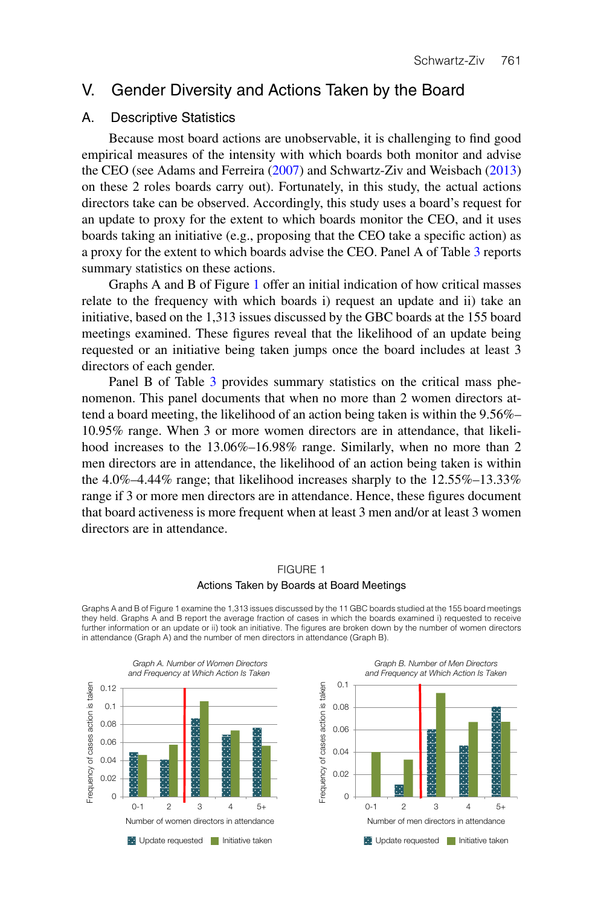## <span id="page-10-1"></span>V. Gender Diversity and Actions Taken by the Board

#### A. Descriptive Statistics

Because most board actions are unobservable, it is challenging to find good empirical measures of the intensity with which boards both monitor and advise the CEO (see Adams and Ferreira [\(2007\)](#page-27-5) and Schwartz-Ziv and Weisbach [\(2013\)](#page-29-0) on these 2 roles boards carry out). Fortunately, in this study, the actual actions directors take can be observed. Accordingly, this study uses a board's request for an update to proxy for the extent to which boards monitor the CEO, and it uses boards taking an initiative (e.g., proposing that the CEO take a specific action) as a proxy for the extent to which boards advise the CEO. Panel A of Table [3](#page-11-0) reports summary statistics on these actions.

Graphs A and B of Figure [1](#page-10-0) offer an initial indication of how critical masses relate to the frequency with which boards i) request an update and ii) take an initiative, based on the 1,313 issues discussed by the GBC boards at the 155 board meetings examined. These figures reveal that the likelihood of an update being requested or an initiative being taken jumps once the board includes at least 3 directors of each gender.

Panel B of Table [3](#page-11-0) provides summary statistics on the critical mass phenomenon. This panel documents that when no more than 2 women directors attend a board meeting, the likelihood of an action being taken is within the 9.56%– 10.95% range. When 3 or more women directors are in attendance, that likelihood increases to the 13.06%–16.98% range. Similarly, when no more than 2 men directors are in attendance, the likelihood of an action being taken is within the 4.0%–4.44% range; that likelihood increases sharply to the 12.55%–13.33% range if 3 or more men directors are in attendance. Hence, these figures document that board activeness is more frequent when at least 3 men and/or at least 3 women directors are in attendance.



#### <span id="page-10-0"></span>FIGURE 1 Actions Taken by Boards at Board Meetings

Graphs A and B of Figure 1 examine the 1,313 issues discussed by the 11 GBC boards studied at the 155 board meetings they held. Graphs A and B report the average fraction of cases in which the boards examined i) requested to receive further information or an update or ii) took an initiative. The figures are broken down by the number of women directors in attendance (Graph A) and the number of men directors in attendance (Graph B).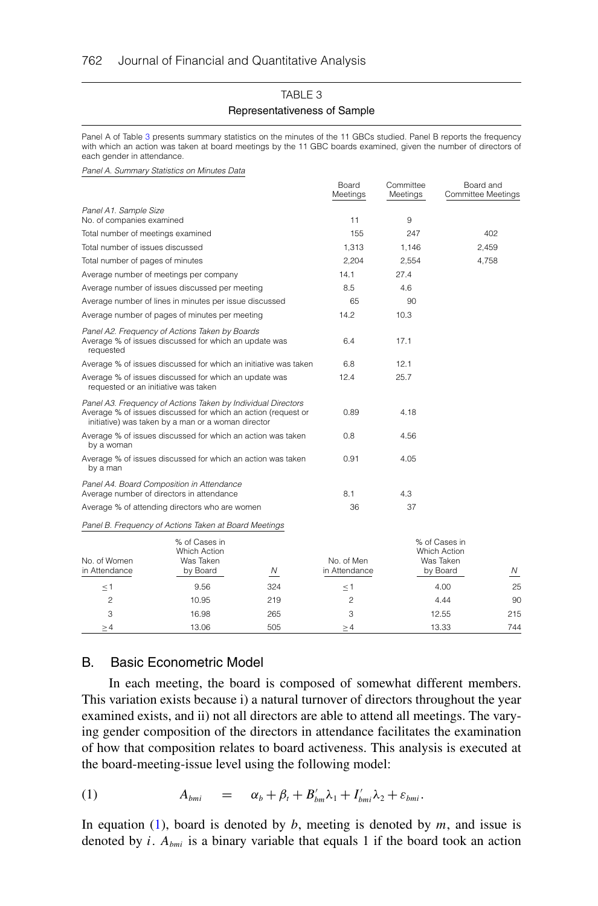#### TABLE 3 Representativeness of Sample

<span id="page-11-0"></span>Panel A of Table [3](#page-11-0) presents summary statistics on the minutes of the 11 GBCs studied. Panel B reports the frequency with which an action was taken at board meetings by the 11 GBC boards examined, given the number of directors of each gender in attendance.

Panel A. Summary Statistics on Minutes Data

|                                                                                                                                                                                     |                                                        |      | Board<br>Meetings           | Committee<br>Meetings | Board and<br><b>Committee Meetings</b>                      |
|-------------------------------------------------------------------------------------------------------------------------------------------------------------------------------------|--------------------------------------------------------|------|-----------------------------|-----------------------|-------------------------------------------------------------|
| Panel A1. Sample Size<br>No. of companies examined                                                                                                                                  |                                                        |      | 11                          | 9                     |                                                             |
| Total number of meetings examined                                                                                                                                                   |                                                        |      | 155                         | 247                   | 402                                                         |
| Total number of issues discussed                                                                                                                                                    |                                                        |      | 1.313                       | 1.146                 | 2,459                                                       |
| Total number of pages of minutes                                                                                                                                                    |                                                        |      | 2,204                       | 2,554                 | 4,758                                                       |
| Average number of meetings per company                                                                                                                                              |                                                        |      | 14.1                        | 27.4                  |                                                             |
| Average number of issues discussed per meeting                                                                                                                                      |                                                        |      | 8.5                         | 4.6                   |                                                             |
| Average number of lines in minutes per issue discussed                                                                                                                              |                                                        |      | 65                          | 90                    |                                                             |
| Average number of pages of minutes per meeting                                                                                                                                      |                                                        |      | 14.2                        | 10.3                  |                                                             |
| Panel A2. Frequency of Actions Taken by Boards<br>Average % of issues discussed for which an update was<br>requested                                                                |                                                        |      | 6.4                         | 17.1                  |                                                             |
| Average % of issues discussed for which an initiative was taken                                                                                                                     |                                                        |      | 6.8                         | 12.1                  |                                                             |
| Average % of issues discussed for which an update was<br>requested or an initiative was taken                                                                                       |                                                        | 12.4 | 25.7                        |                       |                                                             |
| Panel A3. Frequency of Actions Taken by Individual Directors<br>Average % of issues discussed for which an action (request or<br>initiative) was taken by a man or a woman director |                                                        | 0.89 | 4.18                        |                       |                                                             |
| Average % of issues discussed for which an action was taken<br>by a woman                                                                                                           |                                                        |      | 0.8                         | 4.56                  |                                                             |
| Average % of issues discussed for which an action was taken<br>by a man                                                                                                             |                                                        |      | 0.91                        | 4.05                  |                                                             |
| Panel A4. Board Composition in Attendance<br>Average number of directors in attendance                                                                                              |                                                        |      | 8.1                         | 4.3                   |                                                             |
| Average % of attending directors who are women                                                                                                                                      |                                                        |      | 36                          | 37                    |                                                             |
| Panel B. Frequency of Actions Taken at Board Meetings                                                                                                                               |                                                        |      |                             |                       |                                                             |
| No. of Women<br>in Attendance                                                                                                                                                       | % of Cases in<br>Which Action<br>Was Taken<br>by Board | Ν    | No. of Men<br>in Attendance |                       | % of Cases in<br>Which Action<br>Was Taken<br>by Board<br>Ν |
| $\leq$ 1                                                                                                                                                                            | 9.56                                                   | 324  | $<$ 1                       |                       | 4.00<br>25                                                  |
| $\overline{c}$                                                                                                                                                                      | 10.95                                                  | 219  | $\overline{c}$              |                       | 4.44<br>90                                                  |
| 3                                                                                                                                                                                   | 16.98                                                  | 265  | 3                           |                       | 12.55<br>215                                                |
| $\geq$ 4                                                                                                                                                                            | 13.06                                                  | 505  | $\geq$ 4                    |                       | 13.33<br>744                                                |

### <span id="page-11-2"></span>B. Basic Econometric Model

In each meeting, the board is composed of somewhat different members. This variation exists because i) a natural turnover of directors throughout the year examined exists, and ii) not all directors are able to attend all meetings. The varying gender composition of the directors in attendance facilitates the examination of how that composition relates to board activeness. This analysis is executed at the board-meeting-issue level using the following model:

<span id="page-11-1"></span>(1) 
$$
A_{bmi} = \alpha_b + \beta_t + B'_{bm}\lambda_1 + I'_{bm}\lambda_2 + \varepsilon_{bmi}.
$$

In equation  $(1)$ , board is denoted by *b*, meeting is denoted by *m*, and issue is denoted by *i*. *Abmi* is a binary variable that equals 1 if the board took an action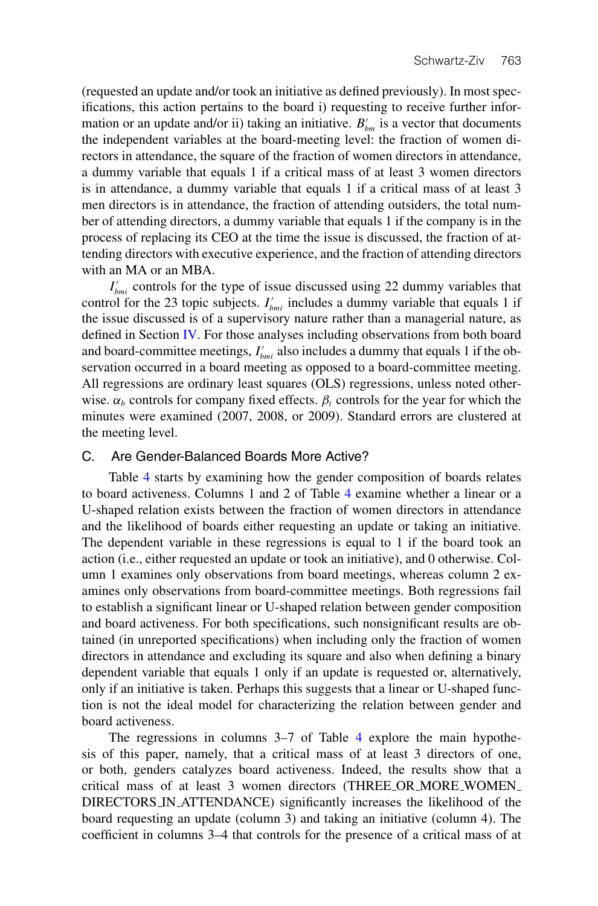(requested an update and/or took an initiative as defined previously). In most specifications, this action pertains to the board i) requesting to receive further information or an update and/or ii) taking an initiative.  $B'_{bm}$  is a vector that documents the independent variables at the board-meeting level: the fraction of women directors in attendance, the square of the fraction of women directors in attendance, a dummy variable that equals 1 if a critical mass of at least 3 women directors is in attendance, a dummy variable that equals 1 if a critical mass of at least 3 men directors is in attendance, the fraction of attending outsiders, the total number of attending directors, a dummy variable that equals 1 if the company is in the process of replacing its CEO at the time the issue is discussed, the fraction of attending directors with executive experience, and the fraction of attending directors with an MA or an MBA.

*I* 0 *bmi* controls for the type of issue discussed using 22 dummy variables that control for the 23 topic subjects.  $I'_{bmi}$  includes a dummy variable that equals 1 if the issue discussed is of a supervisory nature rather than a managerial nature, as defined in Section [IV.](#page-7-4) For those analyses including observations from both board and board-committee meetings,  $I'_{bmi}$  also includes a dummy that equals 1 if the observation occurred in a board meeting as opposed to a board-committee meeting. All regressions are ordinary least squares (OLS) regressions, unless noted otherwise.  $\alpha_b$  controls for company fixed effects.  $\beta_t$  controls for the year for which the minutes were examined (2007, 2008, or 2009). Standard errors are clustered at the meeting level.

#### <span id="page-12-0"></span>C. Are Gender-Balanced Boards More Active?

Table [4](#page-13-0) starts by examining how the gender composition of boards relates to board activeness. Columns 1 and 2 of Table [4](#page-13-0) examine whether a linear or a U-shaped relation exists between the fraction of women directors in attendance and the likelihood of boards either requesting an update or taking an initiative. The dependent variable in these regressions is equal to 1 if the board took an action (i.e., either requested an update or took an initiative), and 0 otherwise. Column 1 examines only observations from board meetings, whereas column 2 examines only observations from board-committee meetings. Both regressions fail to establish a significant linear or U-shaped relation between gender composition and board activeness. For both specifications, such nonsignificant results are obtained (in unreported specifications) when including only the fraction of women directors in attendance and excluding its square and also when defining a binary dependent variable that equals 1 only if an update is requested or, alternatively, only if an initiative is taken. Perhaps this suggests that a linear or U-shaped function is not the ideal model for characterizing the relation between gender and board activeness.

The regressions in columns 3–7 of Table [4](#page-13-0) explore the main hypothesis of this paper, namely, that a critical mass of at least 3 directors of one, or both, genders catalyzes board activeness. Indeed, the results show that a critical mass of at least 3 women directors (THREE OR MORE WOMEN DIRECTORS IN ATTENDANCE) significantly increases the likelihood of the board requesting an update (column 3) and taking an initiative (column 4). The coefficient in columns 3–4 that controls for the presence of a critical mass of at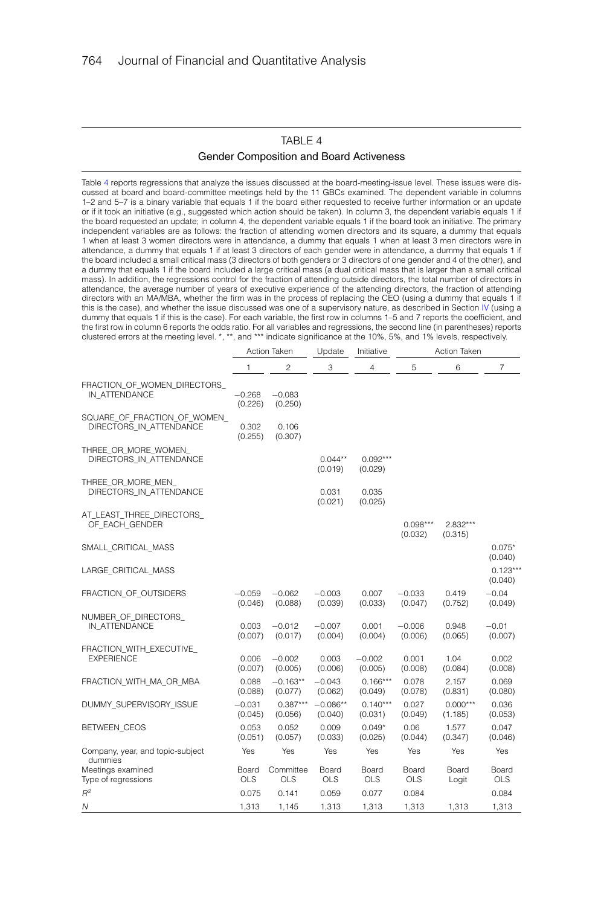#### TABLE 4 Gender Composition and Board Activeness

Table [4](#page-13-0) reports regressions that analyze the issues discussed at the board-meeting-issue level. These issues were discussed at board and board-committee meetings held by the 11 GBCs examined. The dependent variable in columns 1–2 and 5–7 is a binary variable that equals 1 if the board either requested to receive further information or an update or if it took an initiative (e.g., suggested which action should be taken). In column 3, the dependent variable equals 1 if the board requested an update; in column 4, the dependent variable equals 1 if the board took an initiative. The primary independent variables are as follows: the fraction of attending women directors and its square, a dummy that equals 1 when at least 3 women directors were in attendance, a dummy that equals 1 when at least 3 men directors were in attendance, a dummy that equals 1 if at least 3 directors of each gender were in attendance, a dummy that equals 1 if the board included a small critical mass (3 directors of both genders or 3 directors of one gender and 4 of the other), and a dummy that equals 1 if the board included a large critical mass (a dual critical mass that is larger than a small critical mass). In addition, the regressions control for the fraction of attending outside directors, the total number of directors in attendance, the average number of years of executive experience of the attending directors, the fraction of attending directors with an MA/MBA, whether the firm was in the process of replacing the CEO (using a dummy that equals 1 if this is the case), and whether the issue discussed was one of a supervisory nature, as described in Section [IV](#page-7-4) (using a dummy that equals 1 if this is the case). For each variable, the first row in columns 1–5 and 7 reports the coefficient, and the first row in column 6 reports the odds ratio. For all variables and regressions, the second line (in parentheses) reports<br>clustered errors at the meeting level. \*, \*\*, and \*\*\* indicate significance at the 10%, 5%, and

<span id="page-13-0"></span>

|                                                        |                     | <b>Action Taken</b>     | Update<br>Initiative  |                       | <b>Action Taken</b>   |                       |                       |
|--------------------------------------------------------|---------------------|-------------------------|-----------------------|-----------------------|-----------------------|-----------------------|-----------------------|
|                                                        | 1                   | $\overline{c}$          | 3                     | 4                     | 5                     | 6                     | $\overline{7}$        |
| FRACTION OF WOMEN DIRECTORS<br>IN ATTENDANCE           | $-0.268$<br>(0.226) | $-0.083$<br>(0.250)     |                       |                       |                       |                       |                       |
| SQUARE OF FRACTION OF WOMEN<br>DIRECTORS IN ATTENDANCE | 0.302<br>(0.255)    | 0.106<br>(0.307)        |                       |                       |                       |                       |                       |
| THREE OR MORE WOMEN<br>DIRECTORS IN ATTENDANCE         |                     |                         | $0.044**$<br>(0.019)  | $0.092***$<br>(0.029) |                       |                       |                       |
| THREE OR MORE MEN<br>DIRECTORS IN ATTENDANCE           |                     |                         | 0.031<br>(0.021)      | 0.035<br>(0.025)      |                       |                       |                       |
| AT LEAST THREE DIRECTORS<br>OF EACH GENDER             |                     |                         |                       |                       | $0.098***$<br>(0.032) | 2.832***<br>(0.315)   |                       |
| SMALL CRITICAL MASS                                    |                     |                         |                       |                       |                       |                       | $0.075*$<br>(0.040)   |
| LARGE_CRITICAL_MASS                                    |                     |                         |                       |                       |                       |                       | $0.123***$<br>(0.040) |
| FRACTION OF OUTSIDERS                                  | $-0.059$<br>(0.046) | $-0.062$<br>(0.088)     | $-0.003$<br>(0.039)   | 0.007<br>(0.033)      | $-0.033$<br>(0.047)   | 0.419<br>(0.752)      | $-0.04$<br>(0.049)    |
| NUMBER OF DIRECTORS<br>IN ATTENDANCE                   | 0.003<br>(0.007)    | $-0.012$<br>(0.017)     | $-0.007$<br>(0.004)   | 0.001<br>(0.004)      | $-0.006$<br>(0.006)   | 0.948<br>(0.065)      | $-0.01$<br>(0.007)    |
| FRACTION WITH EXECUTIVE<br><b>EXPERIENCE</b>           | 0.006<br>(0.007)    | $-0.002$<br>(0.005)     | 0.003<br>(0.006)      | $-0.002$<br>(0.005)   | 0.001<br>(0.008)      | 1.04<br>(0.084)       | 0.002<br>(0.008)      |
| FRACTION WITH MA OR MBA                                | 0.088<br>(0.088)    | $-0.163**$<br>(0.077)   | $-0.043$<br>(0.062)   | $0.166***$<br>(0.049) | 0.078<br>(0.078)      | 2.157<br>(0.831)      | 0.069<br>(0.080)      |
| DUMMY SUPERVISORY ISSUE                                | $-0.031$<br>(0.045) | $0.387***$<br>(0.056)   | $-0.086**$<br>(0.040) | $0.140***$<br>(0.031) | 0.027<br>(0.049)      | $0.000***$<br>(1.185) | 0.036<br>(0.053)      |
| BETWEEN_CEOS                                           | 0.053<br>(0.051)    | 0.052<br>(0.057)        | 0.009<br>(0.033)      | $0.049*$<br>(0.025)   | 0.06<br>(0.044)       | 1.577<br>(0.347)      | 0.047<br>(0.046)      |
| Company, year, and topic-subject<br>dummies            | Yes                 | Yes                     | Yes                   | Yes                   | Yes                   | Yes                   | Yes                   |
| Meetings examined<br>Type of regressions               | Board<br><b>OLS</b> | Committee<br><b>OLS</b> | Board<br><b>OLS</b>   | Board<br><b>OLS</b>   | Board<br><b>OLS</b>   | Board<br>Logit        | Board<br><b>OLS</b>   |
| $R^2$                                                  | 0.075               | 0.141                   | 0.059                 | 0.077                 | 0.084                 |                       | 0.084                 |
| N                                                      | 1,313               | 1,145                   | 1,313                 | 1,313                 | 1,313                 | 1,313                 | 1,313                 |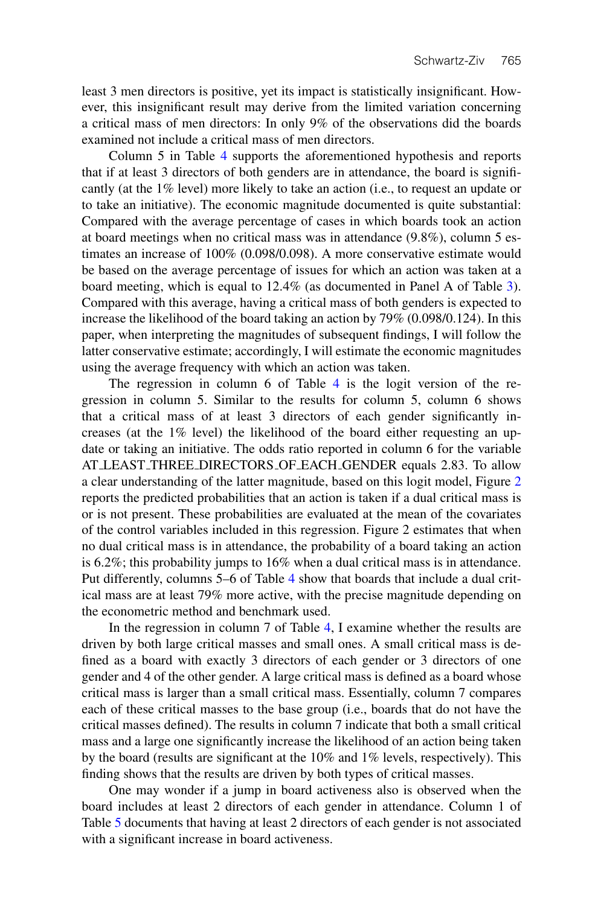least 3 men directors is positive, yet its impact is statistically insignificant. However, this insignificant result may derive from the limited variation concerning a critical mass of men directors: In only 9% of the observations did the boards examined not include a critical mass of men directors.

Column 5 in Table [4](#page-13-0) supports the aforementioned hypothesis and reports that if at least 3 directors of both genders are in attendance, the board is significantly (at the 1% level) more likely to take an action (i.e., to request an update or to take an initiative). The economic magnitude documented is quite substantial: Compared with the average percentage of cases in which boards took an action at board meetings when no critical mass was in attendance (9.8%), column 5 estimates an increase of 100% (0.098/0.098). A more conservative estimate would be based on the average percentage of issues for which an action was taken at a board meeting, which is equal to 12.4% (as documented in Panel A of Table [3\)](#page-11-0). Compared with this average, having a critical mass of both genders is expected to increase the likelihood of the board taking an action by 79% (0.098/0.124). In this paper, when interpreting the magnitudes of subsequent findings, I will follow the latter conservative estimate; accordingly, I will estimate the economic magnitudes using the average frequency with which an action was taken.

The regression in column 6 of Table [4](#page-13-0) is the logit version of the regression in column 5. Similar to the results for column 5, column 6 shows that a critical mass of at least 3 directors of each gender significantly increases (at the 1% level) the likelihood of the board either requesting an update or taking an initiative. The odds ratio reported in column 6 for the variable AT LEAST THREE DIRECTORS OF EACH GENDER equals 2.83. To allow a clear understanding of the latter magnitude, based on this logit model, Figure [2](#page-15-0) reports the predicted probabilities that an action is taken if a dual critical mass is or is not present. These probabilities are evaluated at the mean of the covariates of the control variables included in this regression. Figure 2 estimates that when no dual critical mass is in attendance, the probability of a board taking an action is 6.2%; this probability jumps to 16% when a dual critical mass is in attendance. Put differently, columns 5–6 of Table [4](#page-13-0) show that boards that include a dual critical mass are at least 79% more active, with the precise magnitude depending on the econometric method and benchmark used.

In the regression in column 7 of Table [4,](#page-13-0) I examine whether the results are driven by both large critical masses and small ones. A small critical mass is defined as a board with exactly 3 directors of each gender or 3 directors of one gender and 4 of the other gender. A large critical mass is defined as a board whose critical mass is larger than a small critical mass. Essentially, column 7 compares each of these critical masses to the base group (i.e., boards that do not have the critical masses defined). The results in column 7 indicate that both a small critical mass and a large one significantly increase the likelihood of an action being taken by the board (results are significant at the 10% and 1% levels, respectively). This finding shows that the results are driven by both types of critical masses.

One may wonder if a jump in board activeness also is observed when the board includes at least 2 directors of each gender in attendance. Column 1 of Table [5](#page-16-0) documents that having at least 2 directors of each gender is not associated with a significant increase in board activeness.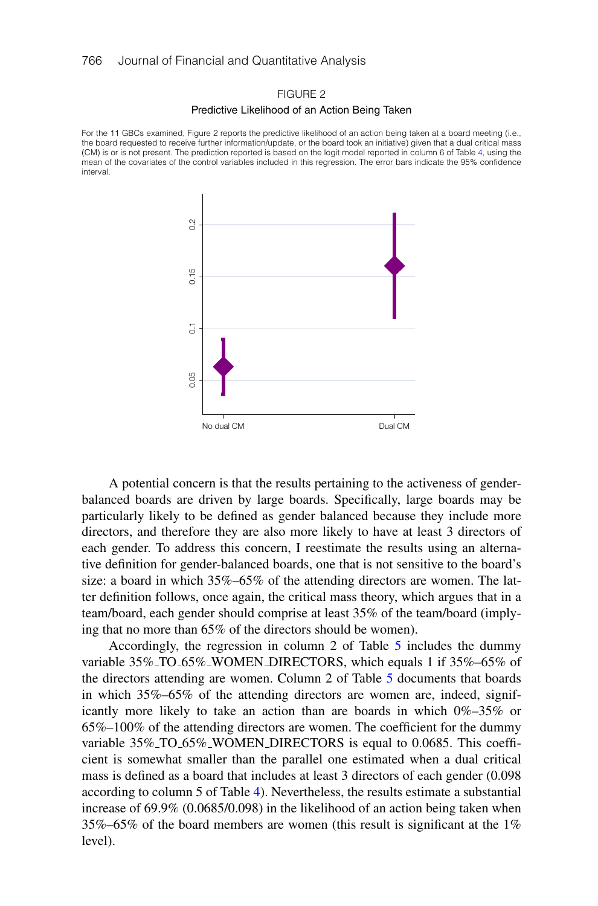<span id="page-15-0"></span>

For the 11 GBCs examined, Figure 2 reports the predictive likelihood of an action being taken at a board meeting (i.e., the board requested to receive further information/update, or the board took an initiative) given that a dual critical mass (CM) is or is not present. The prediction reported is based on the logit model reported in column 6 of Table [4,](#page-13-0) using the mean of the covariates of the control variables included in this regression. The error bars indicate the 95% confidence interval.



A potential concern is that the results pertaining to the activeness of genderbalanced boards are driven by large boards. Specifically, large boards may be particularly likely to be defined as gender balanced because they include more directors, and therefore they are also more likely to have at least 3 directors of each gender. To address this concern, I reestimate the results using an alternative definition for gender-balanced boards, one that is not sensitive to the board's size: a board in which 35%–65% of the attending directors are women. The latter definition follows, once again, the critical mass theory, which argues that in a team/board, each gender should comprise at least 35% of the team/board (implying that no more than 65% of the directors should be women).

Accordingly, the regression in column 2 of Table [5](#page-16-0) includes the dummy variable 35% TO 65% WOMEN DIRECTORS, which equals 1 if 35%–65% of the directors attending are women. Column 2 of Table [5](#page-16-0) documents that boards in which 35%–65% of the attending directors are women are, indeed, significantly more likely to take an action than are boards in which 0%–35% or 65%–100% of the attending directors are women. The coefficient for the dummy variable 35% TO 65% WOMEN DIRECTORS is equal to 0.0685. This coefficient is somewhat smaller than the parallel one estimated when a dual critical mass is defined as a board that includes at least 3 directors of each gender (0.098 according to column 5 of Table [4\)](#page-13-0). Nevertheless, the results estimate a substantial increase of 69.9% (0.0685/0.098) in the likelihood of an action being taken when 35%–65% of the board members are women (this result is significant at the 1% level).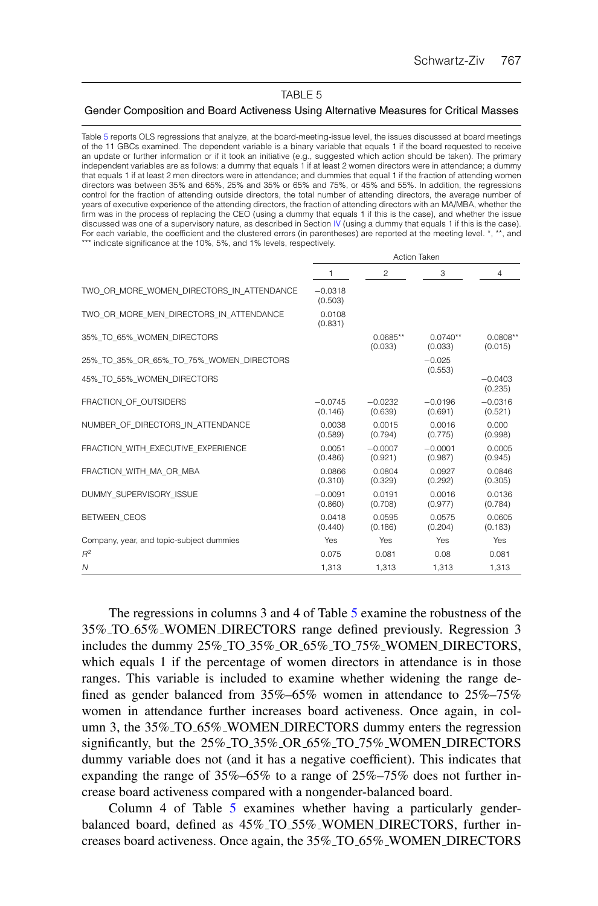#### TABLE 5

#### Gender Composition and Board Activeness Using Alternative Measures for Critical Masses

Table [5](#page-16-0) reports OLS regressions that analyze, at the board-meeting-issue level, the issues discussed at board meetings of the 11 GBCs examined. The dependent variable is a binary variable that equals 1 if the board requested to receive an update or further information or if it took an initiative (e.g., suggested which action should be taken). The primary independent variables are as follows: a dummy that equals 1 if at least 2 women directors were in attendance; a dummy that equals 1 if at least 2 men directors were in attendance; and dummies that equal 1 if the fraction of attending women directors was between 35% and 65%, 25% and 35% or 65% and 75%, or 45% and 55%. In addition, the regressions control for the fraction of attending outside directors, the total number of attending directors, the average number of years of executive experience of the attending directors, the fraction of attending directors with an MA/MBA, whether the firm was in the process of replacing the CEO (using a dummy that equals 1 if this is the case), and whether the issue discussed was one of a supervisory nature, as described in Section [IV](#page-7-4) (using a dummy that equals 1 if this is the case). For each variable, the coefficient and the clustered errors (in parentheses) are reported at the meeting level. \*, \*\*, and \* indicate significance at the 10%, 5%, and 1% levels, respectively.

<span id="page-16-0"></span>

|                                           | Action Taken         |                       |                       |                       |  |
|-------------------------------------------|----------------------|-----------------------|-----------------------|-----------------------|--|
|                                           | 1                    | 2                     | 3                     | 4                     |  |
| TWO OR MORE WOMEN DIRECTORS IN ATTENDANCE | $-0.0318$<br>(0.503) |                       |                       |                       |  |
| TWO OR MORE MEN DIRECTORS IN ATTENDANCE   | 0.0108<br>(0.831)    |                       |                       |                       |  |
| 35% TO 65% WOMEN DIRECTORS                |                      | $0.0685**$<br>(0.033) | $0.0740**$<br>(0.033) | $0.0808**$<br>(0.015) |  |
| 25% TO 35% OR 65% TO 75% WOMEN DIRECTORS  |                      |                       | $-0.025$<br>(0.553)   |                       |  |
| 45% TO 55% WOMEN DIRECTORS                |                      |                       |                       | $-0.0403$<br>(0.235)  |  |
| FRACTION OF OUTSIDERS                     | $-0.0745$<br>(0.146) | $-0.0232$<br>(0.639)  | $-0.0196$<br>(0.691)  | $-0.0316$<br>(0.521)  |  |
| NUMBER OF DIRECTORS IN ATTENDANCE         | 0.0038<br>(0.589)    | 0.0015<br>(0.794)     | 0.0016<br>(0.775)     | 0.000<br>(0.998)      |  |
| FRACTION WITH EXECUTIVE EXPERIENCE        | 0.0051<br>(0.486)    | $-0.0007$<br>(0.921)  | $-0.0001$<br>(0.987)  | 0.0005<br>(0.945)     |  |
| FRACTION WITH MA OR MBA                   | 0.0866<br>(0.310)    | 0.0804<br>(0.329)     | 0.0927<br>(0.292)     | 0.0846<br>(0.305)     |  |
| DUMMY SUPERVISORY ISSUE                   | $-0.0091$<br>(0.860) | 0.0191<br>(0.708)     | 0.0016<br>(0.977)     | 0.0136<br>(0.784)     |  |
| <b>BETWEEN CEOS</b>                       | 0.0418<br>(0.440)    | 0.0595<br>(0.186)     | 0.0575<br>(0.204)     | 0.0605<br>(0.183)     |  |
| Company, year, and topic-subject dummies  | Yes                  | Yes                   | Yes                   | Yes                   |  |
| $R^2$                                     | 0.075                | 0.081                 | 0.08                  | 0.081                 |  |
| $\mathcal N$                              | 1.313                | 1,313                 | 1.313                 | 1.313                 |  |

The regressions in columns 3 and 4 of Table [5](#page-16-0) examine the robustness of the 35% TO 65% WOMEN DIRECTORS range defined previously. Regression 3 includes the dummy 25% TO 35% OR 65% TO 75% WOMEN DIRECTORS, which equals 1 if the percentage of women directors in attendance is in those ranges. This variable is included to examine whether widening the range defined as gender balanced from 35%–65% women in attendance to 25%–75% women in attendance further increases board activeness. Once again, in column 3, the 35% TO 65% WOMEN DIRECTORS dummy enters the regression significantly, but the 25% TO 35% OR 65% TO 75% WOMEN DIRECTORS dummy variable does not (and it has a negative coefficient). This indicates that expanding the range of 35%–65% to a range of 25%–75% does not further increase board activeness compared with a nongender-balanced board.

Column 4 of Table [5](#page-16-0) examines whether having a particularly genderbalanced board, defined as 45% TO 55% WOMEN DIRECTORS, further increases board activeness. Once again, the 35% TO 65% WOMEN DIRECTORS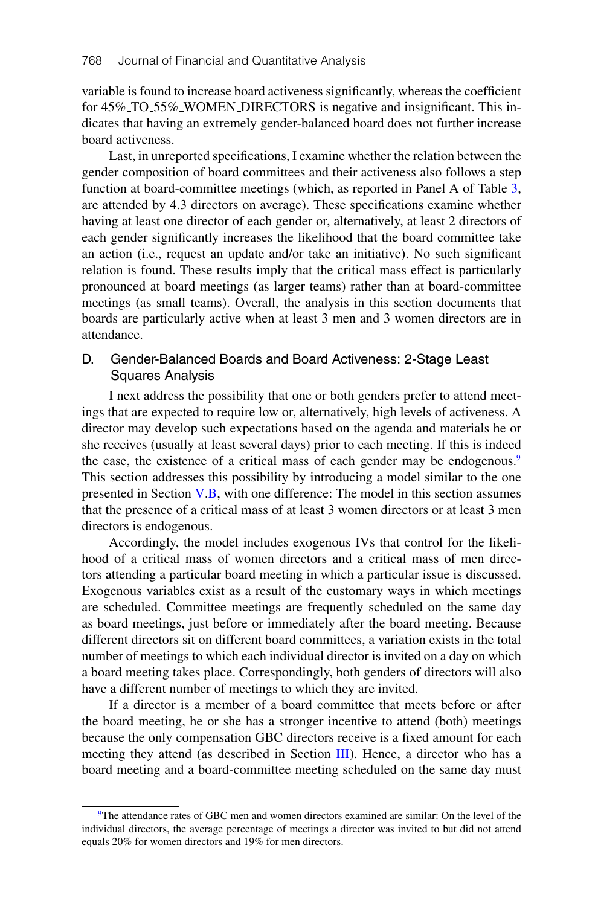variable is found to increase board activeness significantly, whereas the coefficient for 45% TO 55% WOMEN DIRECTORS is negative and insignificant. This indicates that having an extremely gender-balanced board does not further increase board activeness.

Last, in unreported specifications, I examine whether the relation between the gender composition of board committees and their activeness also follows a step function at board-committee meetings (which, as reported in Panel A of Table [3,](#page-11-0) are attended by 4.3 directors on average). These specifications examine whether having at least one director of each gender or, alternatively, at least 2 directors of each gender significantly increases the likelihood that the board committee take an action (i.e., request an update and/or take an initiative). No such significant relation is found. These results imply that the critical mass effect is particularly pronounced at board meetings (as larger teams) rather than at board-committee meetings (as small teams). Overall, the analysis in this section documents that boards are particularly active when at least 3 men and 3 women directors are in attendance.

### D. Gender-Balanced Boards and Board Activeness: 2-Stage Least Squares Analysis

<span id="page-17-1"></span>I next address the possibility that one or both genders prefer to attend meetings that are expected to require low or, alternatively, high levels of activeness. A director may develop such expectations based on the agenda and materials he or she receives (usually at least several days) prior to each meeting. If this is indeed the case, the existence of a critical mass of each gender may be endogenous.<sup>[9](#page-17-0)</sup> This section addresses this possibility by introducing a model similar to the one presented in Section [V](#page-10-1)[.B,](#page-11-2) with one difference: The model in this section assumes that the presence of a critical mass of at least 3 women directors or at least 3 men directors is endogenous.

Accordingly, the model includes exogenous IVs that control for the likelihood of a critical mass of women directors and a critical mass of men directors attending a particular board meeting in which a particular issue is discussed. Exogenous variables exist as a result of the customary ways in which meetings are scheduled. Committee meetings are frequently scheduled on the same day as board meetings, just before or immediately after the board meeting. Because different directors sit on different board committees, a variation exists in the total number of meetings to which each individual director is invited on a day on which a board meeting takes place. Correspondingly, both genders of directors will also have a different number of meetings to which they are invited.

If a director is a member of a board committee that meets before or after the board meeting, he or she has a stronger incentive to attend (both) meetings because the only compensation GBC directors receive is a fixed amount for each meeting they attend (as described in Section [III\)](#page-5-4). Hence, a director who has a board meeting and a board-committee meeting scheduled on the same day must

<span id="page-17-0"></span>[<sup>9</sup>](#page-17-1)The attendance rates of GBC men and women directors examined are similar: On the level of the individual directors, the average percentage of meetings a director was invited to but did not attend equals 20% for women directors and 19% for men directors.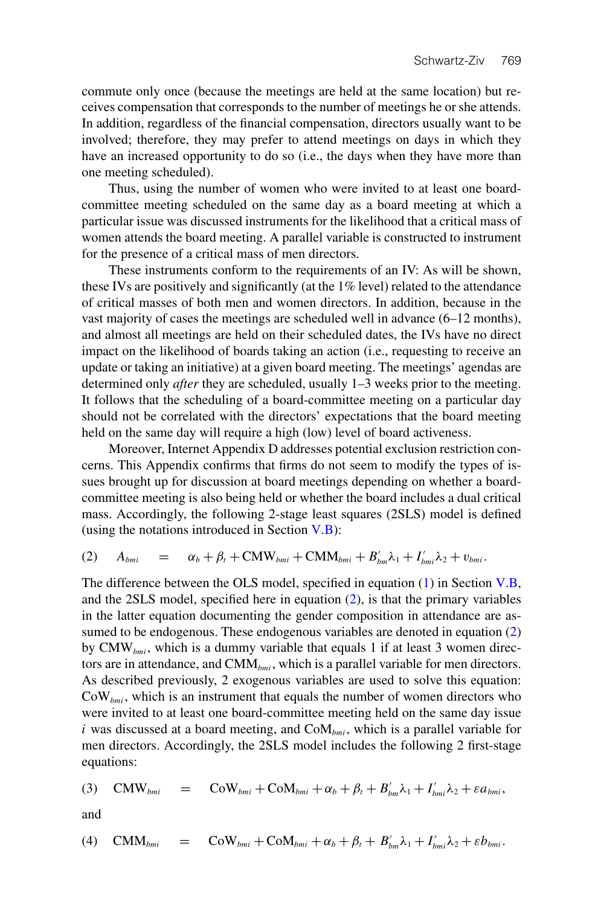commute only once (because the meetings are held at the same location) but receives compensation that corresponds to the number of meetings he or she attends. In addition, regardless of the financial compensation, directors usually want to be involved; therefore, they may prefer to attend meetings on days in which they have an increased opportunity to do so (i.e., the days when they have more than one meeting scheduled).

Thus, using the number of women who were invited to at least one boardcommittee meeting scheduled on the same day as a board meeting at which a particular issue was discussed instruments for the likelihood that a critical mass of women attends the board meeting. A parallel variable is constructed to instrument for the presence of a critical mass of men directors.

These instruments conform to the requirements of an IV: As will be shown, these IVs are positively and significantly (at the 1% level) related to the attendance of critical masses of both men and women directors. In addition, because in the vast majority of cases the meetings are scheduled well in advance (6–12 months), and almost all meetings are held on their scheduled dates, the IVs have no direct impact on the likelihood of boards taking an action (i.e., requesting to receive an update or taking an initiative) at a given board meeting. The meetings' agendas are determined only *after* they are scheduled, usually 1–3 weeks prior to the meeting. It follows that the scheduling of a board-committee meeting on a particular day should not be correlated with the directors' expectations that the board meeting held on the same day will require a high (low) level of board activeness.

Moreover, Internet Appendix D addresses potential exclusion restriction concerns. This Appendix confirms that firms do not seem to modify the types of issues brought up for discussion at board meetings depending on whether a boardcommittee meeting is also being held or whether the board includes a dual critical mass. Accordingly, the following 2-stage least squares (2SLS) model is defined (using the notations introduced in Section [V.](#page-10-1)[B\)](#page-11-2):

<span id="page-18-0"></span>
$$
(2) \quad A_{bmi} = \alpha_b + \beta_t + CMW_{bmi} + CMM_{bmi} + B'_{bm}\lambda_1 + I'_{bmi}\lambda_2 + v_{bmi}.
$$

The difference between the OLS model, specified in equation [\(1\)](#page-11-1) in Section [V.](#page-10-1)[B,](#page-11-2) and the 2SLS model, specified here in equation [\(2\)](#page-18-0), is that the primary variables in the latter equation documenting the gender composition in attendance are as-sumed to be endogenous. These endogenous variables are denoted in equation [\(2\)](#page-18-0) by CMW<sub>bmi</sub>, which is a dummy variable that equals 1 if at least 3 women directors are in attendance, and CMM<sub>*bmi*</sub>, which is a parallel variable for men directors. As described previously, 2 exogenous variables are used to solve this equation: CoW*bmi* , which is an instrument that equals the number of women directors who were invited to at least one board-committee meeting held on the same day issue  $i$  was discussed at a board meeting, and  $CoM_{bmi}$ , which is a parallel variable for men directors. Accordingly, the 2SLS model includes the following 2 first-stage equations:

<span id="page-18-1"></span>
$$
(3) \quad \text{CMW}_{bmi} = \quad \text{CoW}_{bmi} + \text{CoM}_{bmi} + \alpha_b + \beta_t + B'_{bm}\lambda_1 + I'_{bm}\lambda_2 + \varepsilon a_{bmi},
$$

<span id="page-18-2"></span>and

$$
(4) \quad \text{CMM}_{bmi} \quad = \quad \text{Cow}_{bmi} + \text{CoM}_{bmi} + \alpha_b + \beta_t + B'_{bm}\lambda_1 + I'_{bmi}\lambda_2 + \varepsilon b_{bmi}.
$$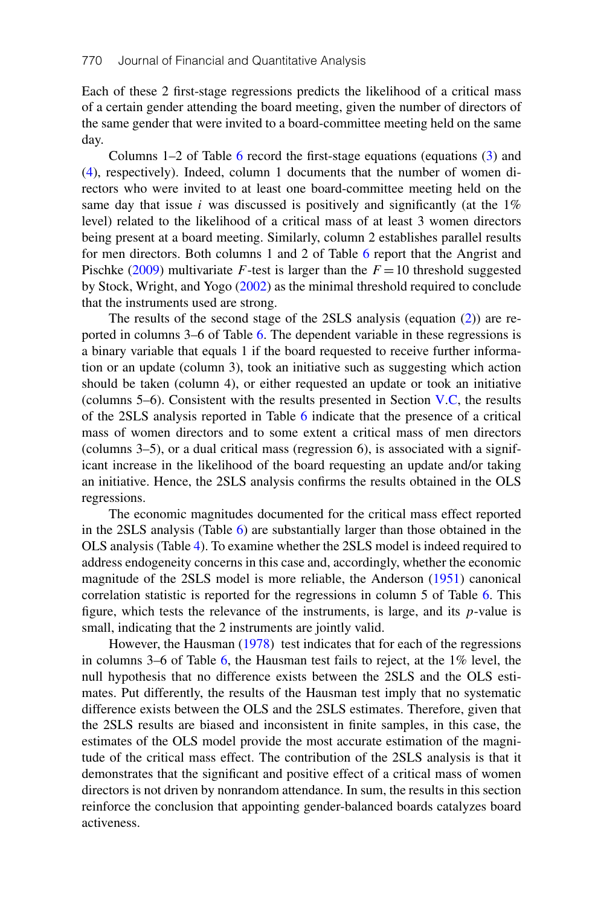Each of these 2 first-stage regressions predicts the likelihood of a critical mass of a certain gender attending the board meeting, given the number of directors of the same gender that were invited to a board-committee meeting held on the same day.

Columns 1–2 of Table [6](#page-20-0) record the first-stage equations (equations [\(3\)](#page-18-1) and [\(4\)](#page-18-2), respectively). Indeed, column 1 documents that the number of women directors who were invited to at least one board-committee meeting held on the same day that issue *i* was discussed is positively and significantly (at the  $1\%$ level) related to the likelihood of a critical mass of at least 3 women directors being present at a board meeting. Similarly, column 2 establishes parallel results for men directors. Both columns 1 and 2 of Table [6](#page-20-0) report that the Angrist and Pischke [\(2009\)](#page-27-6) multivariate *F*-test is larger than the  $F = 10$  threshold suggested by Stock, Wright, and Yogo [\(2002\)](#page-29-7) as the minimal threshold required to conclude that the instruments used are strong.

The results of the second stage of the 2SLS analysis (equation [\(2\)](#page-18-0)) are reported in columns 3–6 of Table [6.](#page-20-0) The dependent variable in these regressions is a binary variable that equals 1 if the board requested to receive further information or an update (column 3), took an initiative such as suggesting which action should be taken (column 4), or either requested an update or took an initiative (columns 5–6). Consistent with the results presented in Section [V.](#page-10-1)[C,](#page-12-0) the results of the 2SLS analysis reported in Table [6](#page-20-0) indicate that the presence of a critical mass of women directors and to some extent a critical mass of men directors (columns 3–5), or a dual critical mass (regression 6), is associated with a significant increase in the likelihood of the board requesting an update and/or taking an initiative. Hence, the 2SLS analysis confirms the results obtained in the OLS regressions.

The economic magnitudes documented for the critical mass effect reported in the 2SLS analysis (Table [6\)](#page-20-0) are substantially larger than those obtained in the OLS analysis (Table [4\)](#page-13-0). To examine whether the 2SLS model is indeed required to address endogeneity concerns in this case and, accordingly, whether the economic magnitude of the 2SLS model is more reliable, the Anderson [\(1951\)](#page-27-7) canonical correlation statistic is reported for the regressions in column 5 of Table [6.](#page-20-0) This figure, which tests the relevance of the instruments, is large, and its *p*-value is small, indicating that the 2 instruments are jointly valid.

However, the Hausman [\(1978\)](#page-28-27) test indicates that for each of the regressions in columns 3–6 of Table [6,](#page-20-0) the Hausman test fails to reject, at the 1% level, the null hypothesis that no difference exists between the 2SLS and the OLS estimates. Put differently, the results of the Hausman test imply that no systematic difference exists between the OLS and the 2SLS estimates. Therefore, given that the 2SLS results are biased and inconsistent in finite samples, in this case, the estimates of the OLS model provide the most accurate estimation of the magnitude of the critical mass effect. The contribution of the 2SLS analysis is that it demonstrates that the significant and positive effect of a critical mass of women directors is not driven by nonrandom attendance. In sum, the results in this section reinforce the conclusion that appointing gender-balanced boards catalyzes board activeness.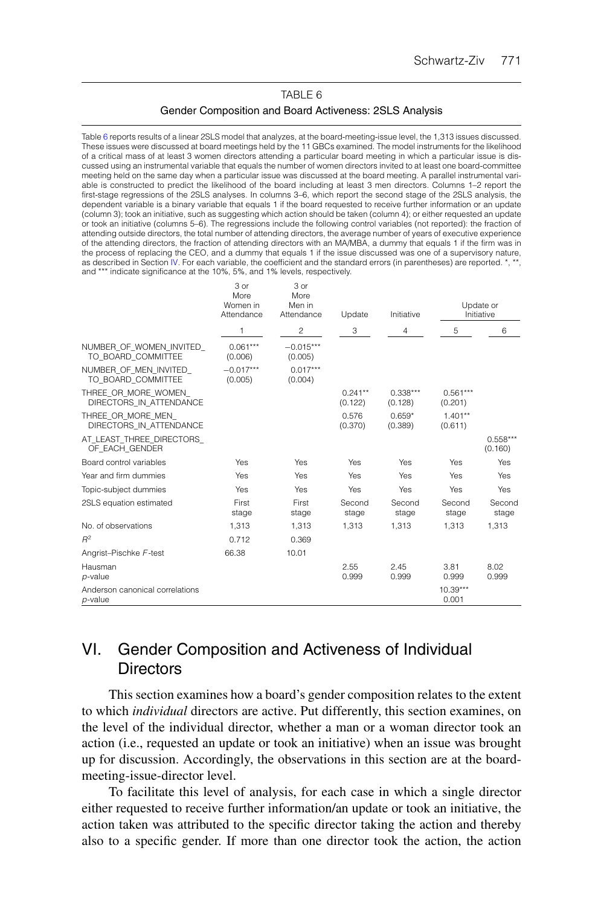#### TABLE 6 Gender Composition and Board Activeness: 2SLS Analysis

Table [6](#page-20-0) reports results of a linear 2SLS model that analyzes, at the board-meeting-issue level, the 1,313 issues discussed. These issues were discussed at board meetings held by the 11 GBCs examined. The model instruments for the likelihood of a critical mass of at least 3 women directors attending a particular board meeting in which a particular issue is discussed using an instrumental variable that equals the number of women directors invited to at least one board-committee meeting held on the same day when a particular issue was discussed at the board meeting. A parallel instrumental variable is constructed to predict the likelihood of the board including at least 3 men directors. Columns 1–2 report the first-stage regressions of the 2SLS analyses. In columns 3–6, which report the second stage of the 2SLS analysis, the dependent variable is a binary variable that equals 1 if the board requested to receive further information or an update (column 3); took an initiative, such as suggesting which action should be taken (column 4); or either requested an update or took an initiative (columns 5–6). The regressions include the following control variables (not reported): the fraction of attending outside directors, the total number of attending directors, the average number of years of executive experience of the attending directors, the fraction of attending directors with an MA/MBA, a dummy that equals 1 if the firm was in the process of replacing the CEO, and a dummy that equals 1 if the issue discussed was one of a supervisory nature, as described in Section [IV.](#page-7-4) For each variable, the coefficient and the standard errors (in parentheses) are reported. \*, \*\* and \*\*\* indicate significance at the 10%, 5%, and 1% levels, respectively.

<span id="page-20-0"></span>

|                                                | 3 or<br>More<br>Women in<br>Attendance | 3 or<br>More<br>Men in<br>Attendance | Update               | Initiative            |                       | Update or<br>Initiative |
|------------------------------------------------|----------------------------------------|--------------------------------------|----------------------|-----------------------|-----------------------|-------------------------|
|                                                | 1                                      | $\overline{c}$                       | 3                    | 4                     | 5                     | 6                       |
| NUMBER OF WOMEN INVITED<br>TO BOARD COMMITTEE  | $0.061***$<br>(0.006)                  | $-0.015***$<br>(0.005)               |                      |                       |                       |                         |
| NUMBER OF MEN INVITED<br>TO BOARD COMMITTEE    | $-0.017***$<br>(0.005)                 | $0.017***$<br>(0.004)                |                      |                       |                       |                         |
| THREE OR MORE WOMEN<br>DIRECTORS IN ATTENDANCE |                                        |                                      | $0.241**$<br>(0.122) | $0.338***$<br>(0.128) | $0.561***$<br>(0.201) |                         |
| THREE OR MORE MEN<br>DIRECTORS IN ATTENDANCE   |                                        |                                      | 0.576<br>(0.370)     | $0.659*$<br>(0.389)   | $1.401**$<br>(0.611)  |                         |
| AT LEAST THREE DIRECTORS<br>OF EACH GENDER     |                                        |                                      |                      |                       |                       | $0.558***$<br>(0.160)   |
| Board control variables                        | Yes                                    | Yes                                  | Yes                  | Yes                   | Yes                   | Yes                     |
| Year and firm dummies                          | Yes                                    | Yes                                  | Yes                  | Yes                   | Yes                   | Yes                     |
| Topic-subject dummies                          | Yes                                    | Yes                                  | Yes                  | Yes                   | Yes                   | Yes                     |
| 2SLS equation estimated                        | First<br>stage                         | First<br>stage                       | Second<br>stage      | Second<br>stage       | Second<br>stage       | Second<br>stage         |
| No. of observations                            | 1.313                                  | 1.313                                | 1.313                | 1.313                 | 1.313                 | 1.313                   |
| $R^2$                                          | 0.712                                  | 0.369                                |                      |                       |                       |                         |
| Angrist-Pischke F-test                         | 66.38                                  | 10.01                                |                      |                       |                       |                         |
| Hausman<br>$p$ -value                          |                                        |                                      | 2.55<br>0.999        | 2.45<br>0.999         | 3.81<br>0.999         | 8.02<br>0.999           |
| Anderson canonical correlations<br>p-value     |                                        |                                      |                      |                       | $10.39***$<br>0.001   |                         |

## VI. Gender Composition and Activeness of Individual **Directors**

This section examines how a board's gender composition relates to the extent to which *individual* directors are active. Put differently, this section examines, on the level of the individual director, whether a man or a woman director took an action (i.e., requested an update or took an initiative) when an issue was brought up for discussion. Accordingly, the observations in this section are at the boardmeeting-issue-director level.

To facilitate this level of analysis, for each case in which a single director either requested to receive further information/an update or took an initiative, the action taken was attributed to the specific director taking the action and thereby also to a specific gender. If more than one director took the action, the action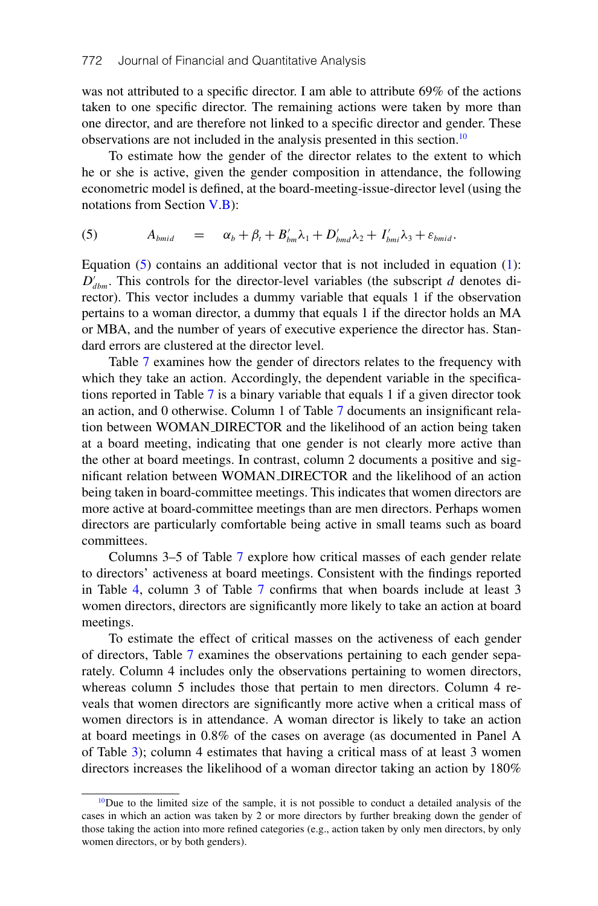was not attributed to a specific director. I am able to attribute 69% of the actions taken to one specific director. The remaining actions were taken by more than one director, and are therefore not linked to a specific director and gender. These observations are not included in the analysis presented in this section.[10](#page-21-0)

<span id="page-21-2"></span>To estimate how the gender of the director relates to the extent to which he or she is active, given the gender composition in attendance, the following econometric model is defined, at the board-meeting-issue-director level (using the notations from Section [V.](#page-10-1)[B\)](#page-11-2):

<span id="page-21-1"></span>(5) 
$$
A_{bmid} = \alpha_b + \beta_t + B'_{bm}\lambda_1 + D'_{bm} \lambda_2 + I'_{bm} \lambda_3 + \varepsilon_{bmid}.
$$

Equation  $(5)$  contains an additional vector that is not included in equation  $(1)$ :  $D'_{dbm}$ . This controls for the director-level variables (the subscript *d* denotes director). This vector includes a dummy variable that equals 1 if the observation pertains to a woman director, a dummy that equals 1 if the director holds an MA or MBA, and the number of years of executive experience the director has. Standard errors are clustered at the director level.

Table [7](#page-22-0) examines how the gender of directors relates to the frequency with which they take an action. Accordingly, the dependent variable in the specifications reported in Table [7](#page-22-0) is a binary variable that equals 1 if a given director took an action, and 0 otherwise. Column 1 of Table [7](#page-22-0) documents an insignificant relation between WOMAN DIRECTOR and the likelihood of an action being taken at a board meeting, indicating that one gender is not clearly more active than the other at board meetings. In contrast, column 2 documents a positive and significant relation between WOMAN DIRECTOR and the likelihood of an action being taken in board-committee meetings. This indicates that women directors are more active at board-committee meetings than are men directors. Perhaps women directors are particularly comfortable being active in small teams such as board committees.

Columns 3–5 of Table [7](#page-22-0) explore how critical masses of each gender relate to directors' activeness at board meetings. Consistent with the findings reported in Table [4,](#page-13-0) column 3 of Table [7](#page-22-0) confirms that when boards include at least 3 women directors, directors are significantly more likely to take an action at board meetings.

To estimate the effect of critical masses on the activeness of each gender of directors, Table [7](#page-22-0) examines the observations pertaining to each gender separately. Column 4 includes only the observations pertaining to women directors, whereas column 5 includes those that pertain to men directors. Column 4 reveals that women directors are significantly more active when a critical mass of women directors is in attendance. A woman director is likely to take an action at board meetings in 0.8% of the cases on average (as documented in Panel A of Table [3\)](#page-11-0); column 4 estimates that having a critical mass of at least 3 women directors increases the likelihood of a woman director taking an action by 180%

<span id="page-21-0"></span><sup>&</sup>lt;sup>[10](#page-21-2)</sup>Due to the limited size of the sample, it is not possible to conduct a detailed analysis of the cases in which an action was taken by 2 or more directors by further breaking down the gender of those taking the action into more refined categories (e.g., action taken by only men directors, by only women directors, or by both genders).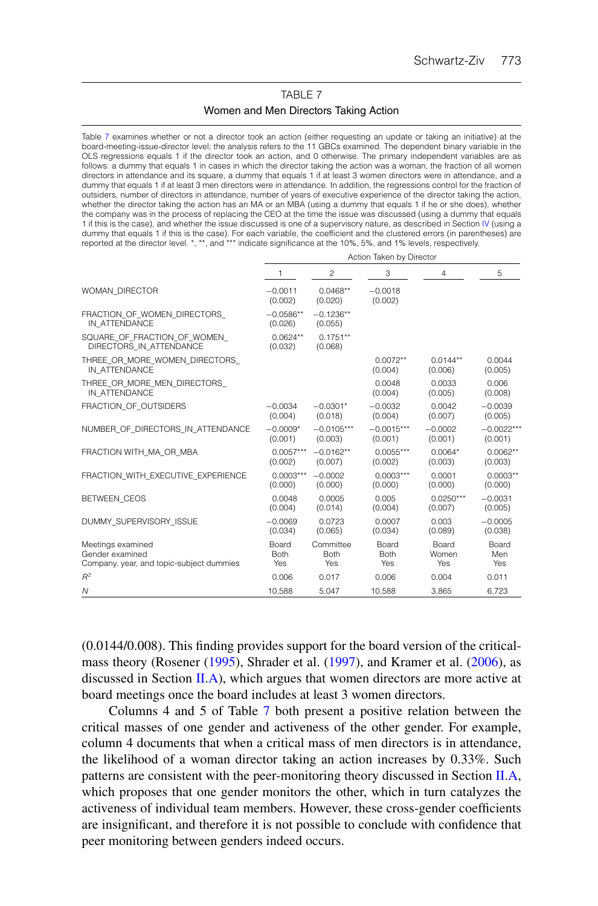#### TABLE 7 Women and Men Directors Taking Action

Table [7](#page-22-0) examines whether or not a director took an action (either requesting an update or taking an initiative) at the board-meeting-issue-director level; the analysis refers to the 11 GBCs examined. The dependent binary variable in the OLS regressions equals 1 if the director took an action, and 0 otherwise. The primary independent variables are as follows: a dummy that equals 1 in cases in which the director taking the action was a woman, the fraction of all women directors in attendance and its square, a dummy that equals 1 if at least 3 women directors were in attendance, and a dummy that equals 1 if at least 3 men directors were in attendance. In addition, the regressions control for the fraction of outsiders, number of directors in attendance, number of years of executive experience of the director taking the action, whether the director taking the action has an MA or an MBA (using a dummy that equals 1 if he or she does), whether the company was in the process of replacing the CEO at the time the issue was discussed (using a dummy that equals 1 if this is the case), and whether the issue discussed is one of a supervisory nature, as described in Section [IV](#page-7-4) (using a dummy that equals 1 if this is the case). For each variable, the coefficient and the clustered errors (in parentheses) are<br>reported at the director level. \*, \*\*, and \*\*\* indicate significance at the 10%, 5%, and 1% levels,

<span id="page-22-0"></span>

|                                                                                  | Action Taken by Director           |                                 |                                    |                              |                            |  |  |
|----------------------------------------------------------------------------------|------------------------------------|---------------------------------|------------------------------------|------------------------------|----------------------------|--|--|
|                                                                                  | 1                                  | 2                               | 3                                  | 4                            | 5                          |  |  |
| WOMAN DIRECTOR                                                                   | $-0.0011$<br>(0.002)               | $0.0468**$<br>(0.020)           | $-0.0018$<br>(0.002)               |                              |                            |  |  |
| FRACTION OF WOMEN DIRECTORS<br>IN ATTENDANCE                                     | $-0.0586**$<br>(0.026)             | $-0.1236**$<br>(0.055)          |                                    |                              |                            |  |  |
| SQUARE OF FRACTION OF WOMEN<br>DIRECTORS IN ATTENDANCE                           | $0.0624**$<br>(0.032)              | $0.1751**$<br>(0.068)           |                                    |                              |                            |  |  |
| THREE OR MORE WOMEN DIRECTORS<br>IN ATTENDANCE                                   |                                    |                                 | $0.0072**$<br>(0.004)              | $0.0144**$<br>(0.006)        | 0.0044<br>(0.005)          |  |  |
| THREE OR MORE MEN DIRECTORS<br>IN ATTENDANCE                                     |                                    |                                 | 0.0048<br>(0.004)                  | 0.0033<br>(0.005)            | 0.006<br>(0.008)           |  |  |
| FRACTION OF OUTSIDERS                                                            | $-0.0034$<br>(0.004)               | $-0.0301*$<br>(0.018)           | $-0.0032$<br>(0.004)               | 0.0042<br>(0.007)            | $-0.0039$<br>(0.005)       |  |  |
| NUMBER OF DIRECTORS IN ATTENDANCE                                                | $-0.0009*$<br>(0.001)              | $-0.0105***$<br>(0.003)         | $-0.0015***$<br>(0.001)            | $-0.0002$<br>(0.001)         | $-0.0022***$<br>(0.001)    |  |  |
| FRACTION WITH MA OR MBA                                                          | $0.0057***$<br>(0.002)             | $-0.0162**$<br>(0.007)          | $0.0055***$<br>(0.002)             | $0.0064*$<br>(0.003)         | $0.0062**$<br>(0.003)      |  |  |
| FRACTION WITH EXECUTIVE EXPERIENCE                                               | $0.0003***$<br>(0.000)             | $-0.0002$<br>(0.000)            | $0.0003***$<br>(0.000)             | 0.0001<br>(0.000)            | $0.0003**$<br>(0.000)      |  |  |
| <b>BETWEEN CEOS</b>                                                              | 0.0048<br>(0.004)                  | 0.0005<br>(0.014)               | 0.005<br>(0.004)                   | $0.0250***$<br>(0.007)       | $-0.0031$<br>(0.005)       |  |  |
| DUMMY SUPERVISORY ISSUE                                                          | $-0.0069$<br>(0.034)               | 0.0723<br>(0.065)               | 0.0007<br>(0.034)                  | 0.003<br>(0.089)             | $-0.0005$<br>(0.038)       |  |  |
| Meetings examined<br>Gender examined<br>Company, year, and topic-subject dummies | <b>Board</b><br><b>Both</b><br>Yes | Committee<br><b>Both</b><br>Yes | <b>Board</b><br><b>Both</b><br>Yes | <b>Board</b><br>Women<br>Yes | <b>Board</b><br>Men<br>Yes |  |  |
| $R^2$                                                                            | 0.006                              | 0.017                           | 0.006                              | 0.004                        | 0.011                      |  |  |
| $\mathcal N$                                                                     | 10,588                             | 5,047                           | 10,588                             | 3,865                        | 6,723                      |  |  |

(0.0144/0.008). This finding provides support for the board version of the criticalmass theory (Rosener [\(1995\)](#page-28-4), Shrader et al. [\(1997\)](#page-29-1), and Kramer et al. [\(2006\)](#page-28-5), as discussed in Section [II.](#page-3-0)[A\)](#page-3-1), which argues that women directors are more active at board meetings once the board includes at least 3 women directors.

Columns 4 and 5 of Table [7](#page-22-0) both present a positive relation between the critical masses of one gender and activeness of the other gender. For example, column 4 documents that when a critical mass of men directors is in attendance, the likelihood of a woman director taking an action increases by 0.33%. Such patterns are consistent with the peer-monitoring theory discussed in Section [II.](#page-3-0)[A,](#page-3-1) which proposes that one gender monitors the other, which in turn catalyzes the activeness of individual team members. However, these cross-gender coefficients are insignificant, and therefore it is not possible to conclude with confidence that peer monitoring between genders indeed occurs.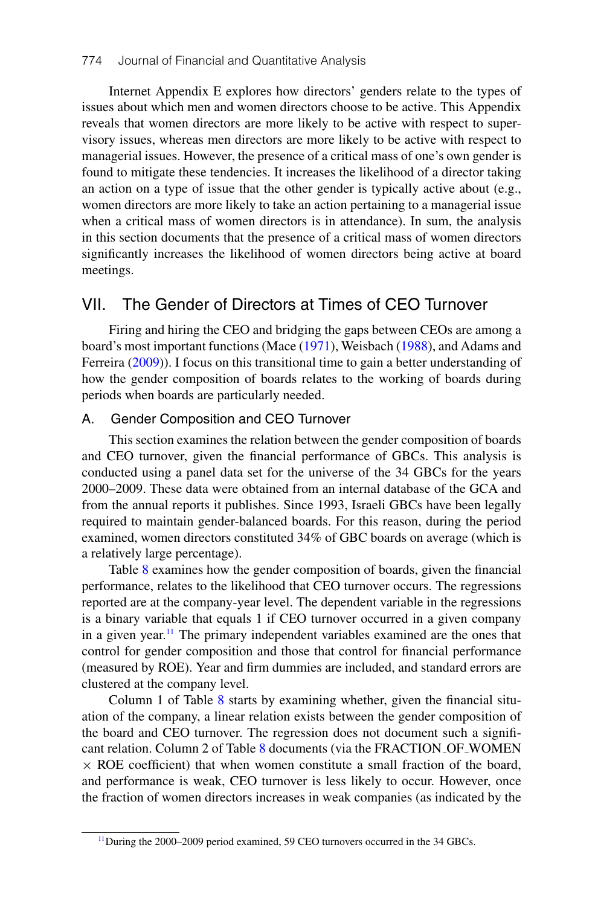Internet Appendix E explores how directors' genders relate to the types of issues about which men and women directors choose to be active. This Appendix reveals that women directors are more likely to be active with respect to supervisory issues, whereas men directors are more likely to be active with respect to managerial issues. However, the presence of a critical mass of one's own gender is found to mitigate these tendencies. It increases the likelihood of a director taking an action on a type of issue that the other gender is typically active about (e.g., women directors are more likely to take an action pertaining to a managerial issue when a critical mass of women directors is in attendance). In sum, the analysis in this section documents that the presence of a critical mass of women directors significantly increases the likelihood of women directors being active at board meetings.

## VII. The Gender of Directors at Times of CEO Turnover

Firing and hiring the CEO and bridging the gaps between CEOs are among a board's most important functions (Mace [\(1971\)](#page-28-28), Weisbach [\(1988\)](#page-29-8), and Adams and Ferreira [\(2009\)](#page-27-1)). I focus on this transitional time to gain a better understanding of how the gender composition of boards relates to the working of boards during periods when boards are particularly needed.

### A. Gender Composition and CEO Turnover

This section examines the relation between the gender composition of boards and CEO turnover, given the financial performance of GBCs. This analysis is conducted using a panel data set for the universe of the 34 GBCs for the years 2000–2009. These data were obtained from an internal database of the GCA and from the annual reports it publishes. Since 1993, Israeli GBCs have been legally required to maintain gender-balanced boards. For this reason, during the period examined, women directors constituted 34% of GBC boards on average (which is a relatively large percentage).

<span id="page-23-1"></span>Table [8](#page-24-0) examines how the gender composition of boards, given the financial performance, relates to the likelihood that CEO turnover occurs. The regressions reported are at the company-year level. The dependent variable in the regressions is a binary variable that equals 1 if CEO turnover occurred in a given company in a given year.<sup>[11](#page-23-0)</sup> The primary independent variables examined are the ones that control for gender composition and those that control for financial performance (measured by ROE). Year and firm dummies are included, and standard errors are clustered at the company level.

Column 1 of Table [8](#page-24-0) starts by examining whether, given the financial situation of the company, a linear relation exists between the gender composition of the board and CEO turnover. The regression does not document such a signifi-cant relation. Column 2 of Table [8](#page-24-0) documents (via the FRACTION OF WOMEN  $\times$  ROE coefficient) that when women constitute a small fraction of the board, and performance is weak, CEO turnover is less likely to occur. However, once the fraction of women directors increases in weak companies (as indicated by the

<span id="page-23-0"></span><sup>&</sup>lt;sup>[11](#page-23-1)</sup>During the 2000–2009 period examined, 59 CEO turnovers occurred in the 34 GBCs.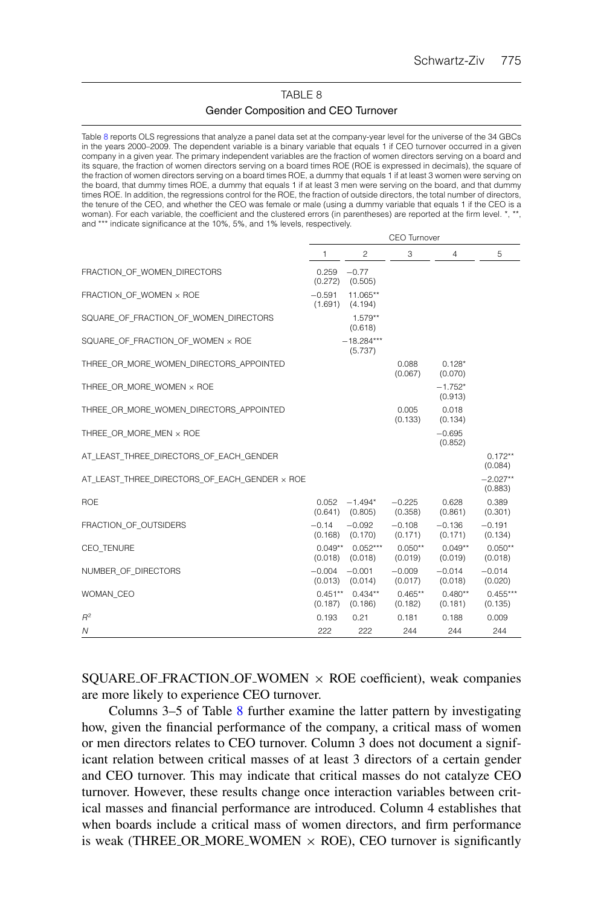#### TABLE 8 Gender Composition and CEO Turnover

Table [8](#page-24-0) reports OLS regressions that analyze a panel data set at the company-year level for the universe of the 34 GBCs in the years 2000–2009. The dependent variable is a binary variable that equals 1 if CEO turnover occurred in a given company in a given year. The primary independent variables are the fraction of women directors serving on a board and its square, the fraction of women directors serving on a board times ROE (ROE is expressed in decimals), the square of the fraction of women directors serving on a board times ROE, a dummy that equals 1 if at least 3 women were serving on the board, that dummy times ROE, a dummy that equals 1 if at least 3 men were serving on the board, and that dummy times ROE. In addition, the regressions control for the ROE, the fraction of outside directors, the total number of directors, the tenure of the CEO, and whether the CEO was female or male (using a dummy variable that equals 1 if the CEO is a woman). For each variable, the coefficient and the clustered errors (in parentheses) are reported at the firm level. \*, \*\* and \*\*\* indicate significance at the 10%, 5%, and 1% levels, respectively.

<span id="page-24-0"></span>

|                                               | <b>CEO</b> Turnover  |                         |                      |                      |                       |  |
|-----------------------------------------------|----------------------|-------------------------|----------------------|----------------------|-----------------------|--|
|                                               | 1                    | $\overline{c}$          | 3                    | 4                    | 5                     |  |
| FRACTION OF WOMEN DIRECTORS                   | 0.259<br>(0.272)     | $-0.77$<br>(0.505)      |                      |                      |                       |  |
| FRACTION OF WOMEN x ROE                       | $-0.591$<br>(1.691)  | 11.065**<br>(4.194)     |                      |                      |                       |  |
| SQUARE OF FRACTION OF WOMEN DIRECTORS         |                      | $1.579**$<br>(0.618)    |                      |                      |                       |  |
| SQUARE OF FRACTION OF WOMEN $\times$ ROE      |                      | $-18.284***$<br>(5.737) |                      |                      |                       |  |
| THREE OR MORE WOMEN DIRECTORS APPOINTED       |                      |                         | 0.088<br>(0.067)     | $0.128*$<br>(0.070)  |                       |  |
| THREE OR MORE WOMEN x ROE                     |                      |                         |                      | $-1.752*$<br>(0.913) |                       |  |
| THREE OR MORE WOMEN DIRECTORS APPOINTED       |                      |                         | 0.005<br>(0.133)     | 0.018<br>(0.134)     |                       |  |
| THREE OR MORE MEN x ROE                       |                      |                         |                      | $-0.695$<br>(0.852)  |                       |  |
| AT LEAST THREE DIRECTORS OF EACH GENDER       |                      |                         |                      |                      | $0.172**$<br>(0.084)  |  |
| AT LEAST THREE DIRECTORS OF EACH GENDER x ROE |                      |                         |                      |                      | $-2.027**$<br>(0.883) |  |
| <b>ROE</b>                                    | 0.052<br>(0.641)     | $-1.494*$<br>(0.805)    | $-0.225$<br>(0.358)  | 0.628<br>(0.861)     | 0.389<br>(0.301)      |  |
| FRACTION OF OUTSIDERS                         | $-0.14$<br>(0.168)   | $-0.092$<br>(0.170)     | $-0.108$<br>(0.171)  | $-0.136$<br>(0.171)  | $-0.191$<br>(0.134)   |  |
| <b>CEO TENURE</b>                             | $0.049**$<br>(0.018) | $0.052***$<br>(0.018)   | $0.050**$<br>(0.019) | $0.049**$<br>(0.019) | $0.050**$<br>(0.018)  |  |
| NUMBER OF DIRECTORS                           | $-0.004$<br>(0.013)  | $-0.001$<br>(0.014)     | $-0.009$<br>(0.017)  | $-0.014$<br>(0.018)  | $-0.014$<br>(0.020)   |  |
| WOMAN CEO                                     | $0.451**$<br>(0.187) | $0.434**$<br>(0.186)    | $0.465**$<br>(0.182) | $0.480**$<br>(0.181) | $0.455***$<br>(0.135) |  |
| $R^2$                                         | 0.193                | 0.21                    | 0.181                | 0.188                | 0.009                 |  |
| $\mathcal N$                                  | 222                  | 222                     | 244                  | 244                  | 244                   |  |

SQUARE OF FRACTION OF WOMEN  $\times$  ROE coefficient), weak companies are more likely to experience CEO turnover.

Columns 3–5 of Table [8](#page-24-0) further examine the latter pattern by investigating how, given the financial performance of the company, a critical mass of women or men directors relates to CEO turnover. Column 3 does not document a significant relation between critical masses of at least 3 directors of a certain gender and CEO turnover. This may indicate that critical masses do not catalyze CEO turnover. However, these results change once interaction variables between critical masses and financial performance are introduced. Column 4 establishes that when boards include a critical mass of women directors, and firm performance is weak (THREE\_OR\_MORE\_WOMEN  $\times$  ROE), CEO turnover is significantly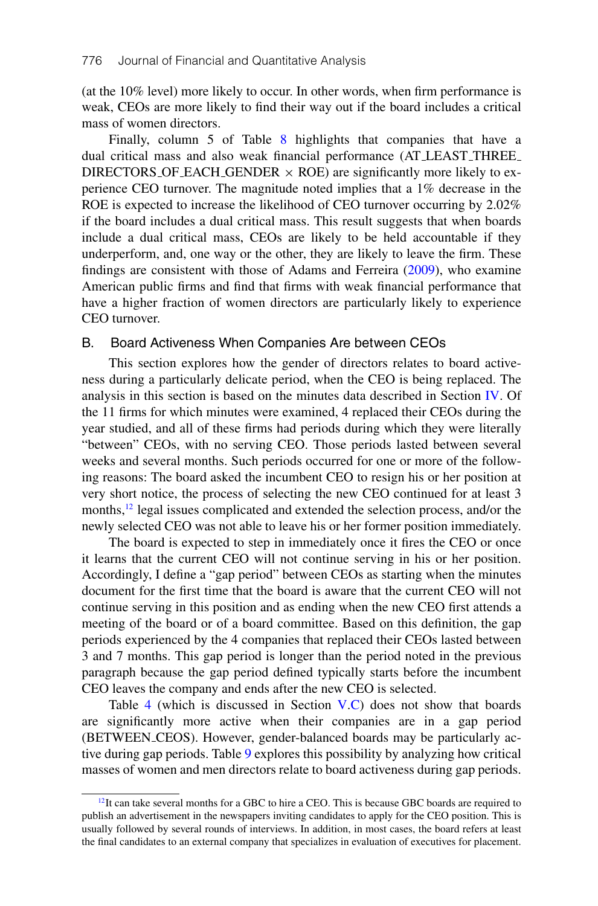(at the 10% level) more likely to occur. In other words, when firm performance is weak, CEOs are more likely to find their way out if the board includes a critical mass of women directors.

Finally, column 5 of Table [8](#page-24-0) highlights that companies that have a dual critical mass and also weak financial performance (AT\_LEAST\_THREE\_ DIRECTORS OF EACH GENDER  $\times$  ROE) are significantly more likely to experience CEO turnover. The magnitude noted implies that a 1% decrease in the ROE is expected to increase the likelihood of CEO turnover occurring by 2.02% if the board includes a dual critical mass. This result suggests that when boards include a dual critical mass, CEOs are likely to be held accountable if they underperform, and, one way or the other, they are likely to leave the firm. These findings are consistent with those of Adams and Ferreira [\(2009\)](#page-27-1), who examine American public firms and find that firms with weak financial performance that have a higher fraction of women directors are particularly likely to experience CEO turnover.

#### B. Board Activeness When Companies Are between CEOs

This section explores how the gender of directors relates to board activeness during a particularly delicate period, when the CEO is being replaced. The analysis in this section is based on the minutes data described in Section [IV.](#page-7-4) Of the 11 firms for which minutes were examined, 4 replaced their CEOs during the year studied, and all of these firms had periods during which they were literally "between" CEOs, with no serving CEO. Those periods lasted between several weeks and several months. Such periods occurred for one or more of the following reasons: The board asked the incumbent CEO to resign his or her position at very short notice, the process of selecting the new CEO continued for at least 3 months, $\frac{12}{12}$  $\frac{12}{12}$  $\frac{12}{12}$  legal issues complicated and extended the selection process, and/or the newly selected CEO was not able to leave his or her former position immediately.

<span id="page-25-1"></span>The board is expected to step in immediately once it fires the CEO or once it learns that the current CEO will not continue serving in his or her position. Accordingly, I define a "gap period" between CEOs as starting when the minutes document for the first time that the board is aware that the current CEO will not continue serving in this position and as ending when the new CEO first attends a meeting of the board or of a board committee. Based on this definition, the gap periods experienced by the 4 companies that replaced their CEOs lasted between 3 and 7 months. This gap period is longer than the period noted in the previous paragraph because the gap period defined typically starts before the incumbent CEO leaves the company and ends after the new CEO is selected.

Table [4](#page-13-0) (which is discussed in Section [V](#page-10-1)[.C\)](#page-12-0) does not show that boards are significantly more active when their companies are in a gap period (BETWEEN CEOS). However, gender-balanced boards may be particularly active during gap periods. Table [9](#page-26-0) explores this possibility by analyzing how critical masses of women and men directors relate to board activeness during gap periods.

<span id="page-25-0"></span> $12$ It can take several months for a GBC to hire a CEO. This is because GBC boards are required to publish an advertisement in the newspapers inviting candidates to apply for the CEO position. This is usually followed by several rounds of interviews. In addition, in most cases, the board refers at least the final candidates to an external company that specializes in evaluation of executives for placement.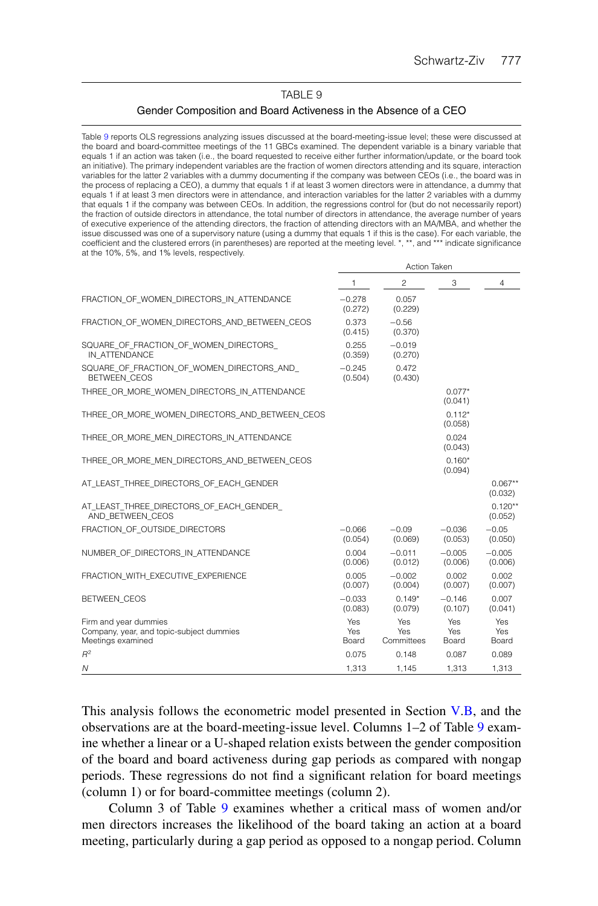Action Taken

#### TABLE 9 Gender Composition and Board Activeness in the Absence of a CEO

Table [9](#page-26-0) reports OLS regressions analyzing issues discussed at the board-meeting-issue level; these were discussed at the board and board-committee meetings of the 11 GBCs examined. The dependent variable is a binary variable that equals 1 if an action was taken (i.e., the board requested to receive either further information/update, or the board took an initiative). The primary independent variables are the fraction of women directors attending and its square, interaction variables for the latter 2 variables with a dummy documenting if the company was between CEOs (i.e., the board was in the process of replacing a CEO), a dummy that equals 1 if at least 3 women directors were in attendance, a dummy that equals 1 if at least 3 men directors were in attendance, and interaction variables for the latter 2 variables with a dummy that equals 1 if the company was between CEOs. In addition, the regressions control for (but do not necessarily report) the fraction of outside directors in attendance, the total number of directors in attendance, the average number of years of executive experience of the attending directors, the fraction of attending directors with an MA/MBA, and whether the issue discussed was one of a supervisory nature (using a dummy that equals 1 if this is the case). For each variable, the coefficient and the clustered errors (in parentheses) are reported at the meeting level. \*, \*\*, and \*\*\* indicate significance at the 10%, 5%, and 1% levels, respectively.

<span id="page-26-0"></span>

|                                                                                        | ACTION ISSUED.      |                          |                     |                      |
|----------------------------------------------------------------------------------------|---------------------|--------------------------|---------------------|----------------------|
|                                                                                        | 1                   | $\overline{c}$           | 3                   | 4                    |
| FRACTION OF WOMEN DIRECTORS IN ATTENDANCE                                              | $-0.278$<br>(0.272) | 0.057<br>(0.229)         |                     |                      |
| FRACTION OF WOMEN DIRECTORS AND BETWEEN CEOS                                           | 0.373<br>(0.415)    | $-0.56$<br>(0.370)       |                     |                      |
| SQUARE OF FRACTION OF WOMEN DIRECTORS<br>IN ATTENDANCE                                 | 0.255<br>(0.359)    | $-0.019$<br>(0.270)      |                     |                      |
| SQUARE OF FRACTION OF WOMEN DIRECTORS AND<br><b>BETWEEN CEOS</b>                       | $-0.245$<br>(0.504) | 0.472<br>(0.430)         |                     |                      |
| THREE OR MORE WOMEN DIRECTORS IN ATTENDANCE                                            |                     |                          | $0.077*$<br>(0.041) |                      |
| THREE OR MORE WOMEN DIRECTORS AND BETWEEN CEOS                                         |                     |                          | $0.112*$<br>(0.058) |                      |
| THREE OR MORE MEN DIRECTORS IN ATTENDANCE                                              |                     |                          | 0.024<br>(0.043)    |                      |
| THREE OR MORE MEN DIRECTORS AND BETWEEN CEOS                                           |                     |                          | $0.160*$<br>(0.094) |                      |
| AT LEAST THREE DIRECTORS OF EACH GENDER                                                |                     |                          |                     | $0.067**$<br>(0.032) |
| AT LEAST THREE DIRECTORS OF EACH GENDER<br>AND BETWEEN CEOS                            |                     |                          |                     | $0.120**$<br>(0.052) |
| FRACTION OF OUTSIDE DIRECTORS                                                          | $-0.066$<br>(0.054) | $-0.09$<br>(0.069)       | $-0.036$<br>(0.053) | $-0.05$<br>(0.050)   |
| NUMBER OF DIRECTORS IN ATTENDANCE                                                      | 0.004<br>(0.006)    | $-0.011$<br>(0.012)      | $-0.005$<br>(0.006) | $-0.005$<br>(0.006)  |
| FRACTION WITH EXECUTIVE EXPERIENCE                                                     | 0.005<br>(0.007)    | $-0.002$<br>(0.004)      | 0.002<br>(0.007)    | 0.002<br>(0.007)     |
| BETWEEN CEOS                                                                           | $-0.033$<br>(0.083) | $0.149*$<br>(0.079)      | $-0.146$<br>(0.107) | 0.007<br>(0.041)     |
| Firm and year dummies<br>Company, year, and topic-subject dummies<br>Meetings examined | Yes<br>Yes<br>Board | Yes<br>Yes<br>Committees | Yes<br>Yes<br>Board | Yes<br>Yes<br>Board  |
| $R^2$                                                                                  | 0.075               | 0.148                    | 0.087               | 0.089                |
| $\mathcal N$                                                                           | 1.313               | 1,145                    | 1,313               | 1.313                |

This analysis follows the econometric model presented in Section [V](#page-10-1)[.B,](#page-11-2) and the observations are at the board-meeting-issue level. Columns 1–2 of Table [9](#page-26-0) examine whether a linear or a U-shaped relation exists between the gender composition of the board and board activeness during gap periods as compared with nongap periods. These regressions do not find a significant relation for board meetings (column 1) or for board-committee meetings (column 2).

Column 3 of Table [9](#page-26-0) examines whether a critical mass of women and/or men directors increases the likelihood of the board taking an action at a board meeting, particularly during a gap period as opposed to a nongap period. Column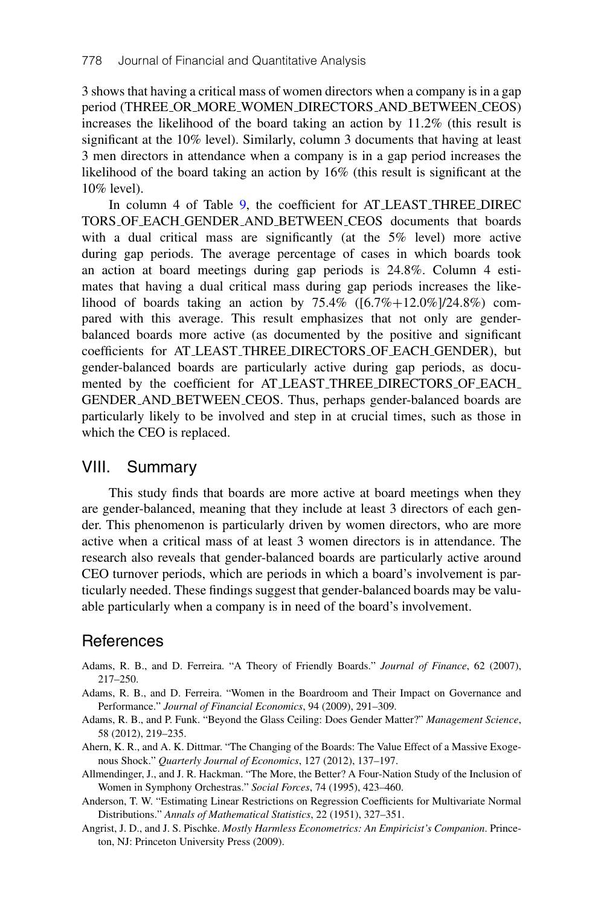<span id="page-27-4"></span>3 shows that having a critical mass of women directors when a company is in a gap period (THREE OR MORE WOMEN DIRECTORS AND BETWEEN CEOS) increases the likelihood of the board taking an action by 11.2% (this result is significant at the 10% level). Similarly, column 3 documents that having at least 3 men directors in attendance when a company is in a gap period increases the likelihood of the board taking an action by 16% (this result is significant at the 10% level).

In column 4 of Table [9,](#page-26-0) the coefficient for AT LEAST THREE DIREC TORS OF EACH GENDER AND BETWEEN CEOS documents that boards with a dual critical mass are significantly (at the 5% level) more active during gap periods. The average percentage of cases in which boards took an action at board meetings during gap periods is 24.8%. Column 4 estimates that having a dual critical mass during gap periods increases the likelihood of boards taking an action by  $75.4\%$  ( $[6.7\% + 12.0\%]/24.8\%$ ) compared with this average. This result emphasizes that not only are genderbalanced boards more active (as documented by the positive and significant coefficients for AT LEAST THREE DIRECTORS OF EACH GENDER), but gender-balanced boards are particularly active during gap periods, as documented by the coefficient for AT LEAST THREE DIRECTORS OF EACH GENDER AND BETWEEN CEOS. Thus, perhaps gender-balanced boards are particularly likely to be involved and step in at crucial times, such as those in which the CEO is replaced.

## VIII. Summary

This study finds that boards are more active at board meetings when they are gender-balanced, meaning that they include at least 3 directors of each gender. This phenomenon is particularly driven by women directors, who are more active when a critical mass of at least 3 women directors is in attendance. The research also reveals that gender-balanced boards are particularly active around CEO turnover periods, which are periods in which a board's involvement is particularly needed. These findings suggest that gender-balanced boards may be valuable particularly when a company is in need of the board's involvement.

## **References**

- <span id="page-27-5"></span>Adams, R. B., and D. Ferreira. "A Theory of Friendly Boards." *Journal of Finance*, 62 (2007), 217–250.
- <span id="page-27-1"></span>Adams, R. B., and D. Ferreira. "Women in the Boardroom and Their Impact on Governance and Performance." *Journal of Financial Economics*, 94 (2009), 291–309.
- <span id="page-27-3"></span>Adams, R. B., and P. Funk. "Beyond the Glass Ceiling: Does Gender Matter?" *Management Science*, 58 (2012), 219–235.
- <span id="page-27-0"></span>Ahern, K. R., and A. K. Dittmar. "The Changing of the Boards: The Value Effect of a Massive Exogenous Shock." *Quarterly Journal of Economics*, 127 (2012), 137–197.
- <span id="page-27-2"></span>Allmendinger, J., and J. R. Hackman. "The More, the Better? A Four-Nation Study of the Inclusion of Women in Symphony Orchestras." *Social Forces*, 74 (1995), 423–460.
- <span id="page-27-7"></span>Anderson, T. W. "Estimating Linear Restrictions on Regression Coefficients for Multivariate Normal Distributions." *Annals of Mathematical Statistics*, 22 (1951), 327–351.
- <span id="page-27-6"></span>Angrist, J. D., and J. S. Pischke. *Mostly Harmless Econometrics: An Empiricist's Companion*. Princeton, NJ: Princeton University Press (2009).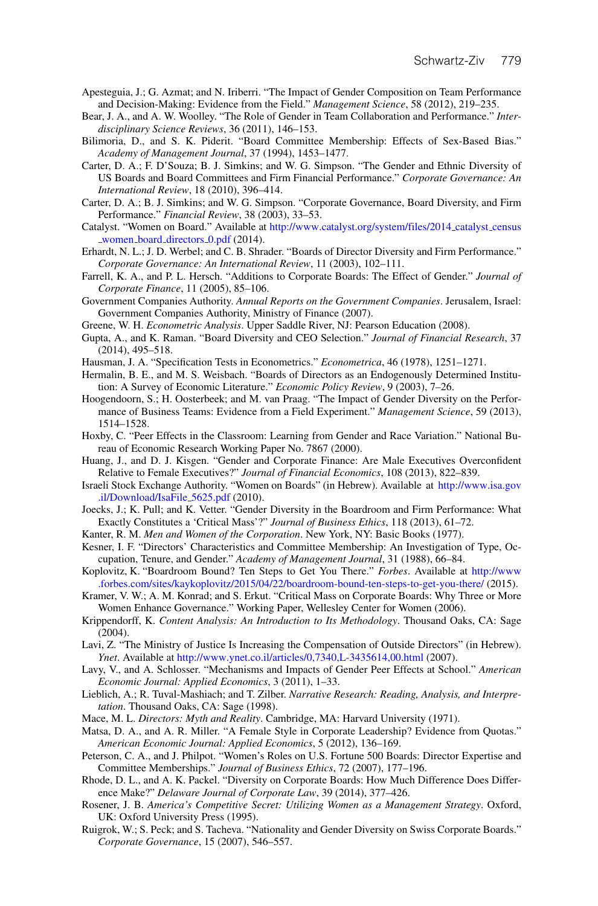- <span id="page-28-24"></span><span id="page-28-23"></span><span id="page-28-22"></span><span id="page-28-10"></span>Apesteguia, J.; G. Azmat; and N. Iriberri. "The Impact of Gender Composition on Team Performance and Decision-Making: Evidence from the Field." *Management Science*, 58 (2012), 219–235.
- <span id="page-28-8"></span>Bear, J. A., and A. W. Woolley. "The Role of Gender in Team Collaboration and Performance." *Interdisciplinary Science Reviews*, 36 (2011), 146–153.
- Bilimoria, D., and S. K. Piderit. "Board Committee Membership: Effects of Sex-Based Bias." *Academy of Management Journal*, 37 (1994), 1453–1477.
- <span id="page-28-19"></span>Carter, D. A.; F. D'Souza; B. J. Simkins; and W. G. Simpson. "The Gender and Ethnic Diversity of US Boards and Board Committees and Firm Financial Performance." *Corporate Governance: An International Review*, 18 (2010), 396–414.
- <span id="page-28-16"></span>Carter, D. A.; B. J. Simkins; and W. G. Simpson. "Corporate Governance, Board Diversity, and Firm Performance." *Financial Review*, 38 (2003), 33–53.
- <span id="page-28-2"></span>Catalyst. "Women on Board." Available at [http://www.catalyst.org/system/files/2014](http://www.catalyst.org/system/files/2014_catalyst_census_women_board_directors_0.pdf) [catalyst](http://www.catalyst.org/system/files/2014_catalyst_census_women_board_directors_0.pdf) [census](http://www.catalyst.org/system/files/2014_catalyst_census_women_board_directors_0.pdf) -[women](http://www.catalyst.org/system/files/2014_catalyst_census_women_board_directors_0.pdf)-[board](http://www.catalyst.org/system/files/2014_catalyst_census_women_board_directors_0.pdf) [directors](http://www.catalyst.org/system/files/2014_catalyst_census_women_board_directors_0.pdf) [0.pdf](http://www.catalyst.org/system/files/2014_catalyst_census_women_board_directors_0.pdf) (2014).
- <span id="page-28-17"></span>Erhardt, N. L.; J. D. Werbel; and C. B. Shrader. "Boards of Director Diversity and Firm Performance." *Corporate Governance: An International Review*, 11 (2003), 102–111.
- <span id="page-28-18"></span>Farrell, K. A., and P. L. Hersch. "Additions to Corporate Boards: The Effect of Gender." *Journal of Corporate Finance*, 11 (2005), 85–106.
- <span id="page-28-20"></span>Government Companies Authority. *Annual Reports on the Government Companies*. Jerusalem, Israel: Government Companies Authority, Ministry of Finance (2007).
- <span id="page-28-14"></span>Greene, W. H. *Econometric Analysis*. Upper Saddle River, NJ: Pearson Education (2008).
- Gupta, A., and K. Raman. "Board Diversity and CEO Selection." *Journal of Financial Research*, 37 (2014), 495–518.
- <span id="page-28-27"></span><span id="page-28-12"></span>Hausman, J. A. "Specification Tests in Econometrics." *Econometrica*, 46 (1978), 1251–1271.
- Hermalin, B. E., and M. S. Weisbach. "Boards of Directors as an Endogenously Determined Institution: A Survey of Economic Literature." *Economic Policy Review*, 9 (2003), 7–26.
- <span id="page-28-9"></span>Hoogendoorn, S.; H. Oosterbeek; and M. van Praag. "The Impact of Gender Diversity on the Performance of Business Teams: Evidence from a Field Experiment." *Management Science*, 59 (2013), 1514–1528.
- <span id="page-28-6"></span>Hoxby, C. "Peer Effects in the Classroom: Learning from Gender and Race Variation." National Bureau of Economic Research Working Paper No. 7867 (2000).
- <span id="page-28-11"></span>Huang, J., and D. J. Kisgen. "Gender and Corporate Finance: Are Male Executives Overconfident Relative to Female Executives?" *Journal of Financial Economics*, 108 (2013), 822–839.
- Israeli Stock Exchange Authority. "Women on Boards" (in Hebrew). Available at [http://www.isa.gov](http://www.isa.gov.il/Download/IsaFile_5625.pdf) [.il/Download/IsaFile](http://www.isa.gov.il/Download/IsaFile_5625.pdf) [5625.pdf](http://www.isa.gov.il/Download/IsaFile_5625.pdf) (2010).
- <span id="page-28-13"></span>Joecks, J.; K. Pull; and K. Vetter. "Gender Diversity in the Boardroom and Firm Performance: What Exactly Constitutes a 'Critical Mass'?" *Journal of Business Ethics*, 118 (2013), 61–72.
- <span id="page-28-3"></span>Kanter, R. M. *Men and Women of the Corporation*. New York, NY: Basic Books (1977).
- Kesner, I. F. "Directors' Characteristics and Committee Membership: An Investigation of Type, Occupation, Tenure, and Gender." *Academy of Management Journal*, 31 (1988), 66–84.
- <span id="page-28-1"></span>Koplovitz, K. "Boardroom Bound? Ten Steps to Get You There." *Forbes*. Available at [http://www](http://www.forbes.com/sites/kaykoplovitz/2015/04/22/boardroom-bound-ten-steps-to-get-you-there/) [.forbes.com/sites/kaykoplovitz/2015/04/22/boardroom-bound-ten-steps-to-get-you-there/](http://www.forbes.com/sites/kaykoplovitz/2015/04/22/boardroom-bound-ten-steps-to-get-you-there/) (2015).
- <span id="page-28-5"></span>Kramer, V. W.; A. M. Konrad; and S. Erkut. "Critical Mass on Corporate Boards: Why Three or More Women Enhance Governance." Working Paper, Wellesley Center for Women (2006).
- <span id="page-28-26"></span>Krippendorff, K. *Content Analysis: An Introduction to Its Methodology*. Thousand Oaks, CA: Sage (2004).
- <span id="page-28-21"></span>Lavi, Z. "The Ministry of Justice Is Increasing the Compensation of Outside Directors" (in Hebrew). *Ynet*. Available at <http://www.ynet.co.il/articles/0,7340,L-3435614,00.html> (2007).
- <span id="page-28-7"></span>Lavy, V., and A. Schlosser. "Mechanisms and Impacts of Gender Peer Effects at School." *American Economic Journal: Applied Economics*, 3 (2011), 1–33.
- <span id="page-28-25"></span>Lieblich, A.; R. Tuval-Mashiach; and T. Zilber. *Narrative Research: Reading, Analysis, and Interpretation*. Thousand Oaks, CA: Sage (1998).
- <span id="page-28-28"></span><span id="page-28-0"></span>Mace, M. L. *Directors: Myth and Reality*. Cambridge, MA: Harvard University (1971).
- Matsa, D. A., and A. R. Miller. "A Female Style in Corporate Leadership? Evidence from Quotas." *American Economic Journal: Applied Economics*, 5 (2012), 136–169.
- Peterson, C. A., and J. Philpot. "Women's Roles on U.S. Fortune 500 Boards: Director Expertise and Committee Memberships." *Journal of Business Ethics*, 72 (2007), 177–196.
- <span id="page-28-15"></span>Rhode, D. L., and A. K. Packel. "Diversity on Corporate Boards: How Much Difference Does Difference Make?" *Delaware Journal of Corporate Law*, 39 (2014), 377–426.
- <span id="page-28-4"></span>Rosener, J. B. *America's Competitive Secret: Utilizing Women as a Management Strategy*. Oxford, UK: Oxford University Press (1995).
- Ruigrok, W.; S. Peck; and S. Tacheva. "Nationality and Gender Diversity on Swiss Corporate Boards." *Corporate Governance*, 15 (2007), 546–557.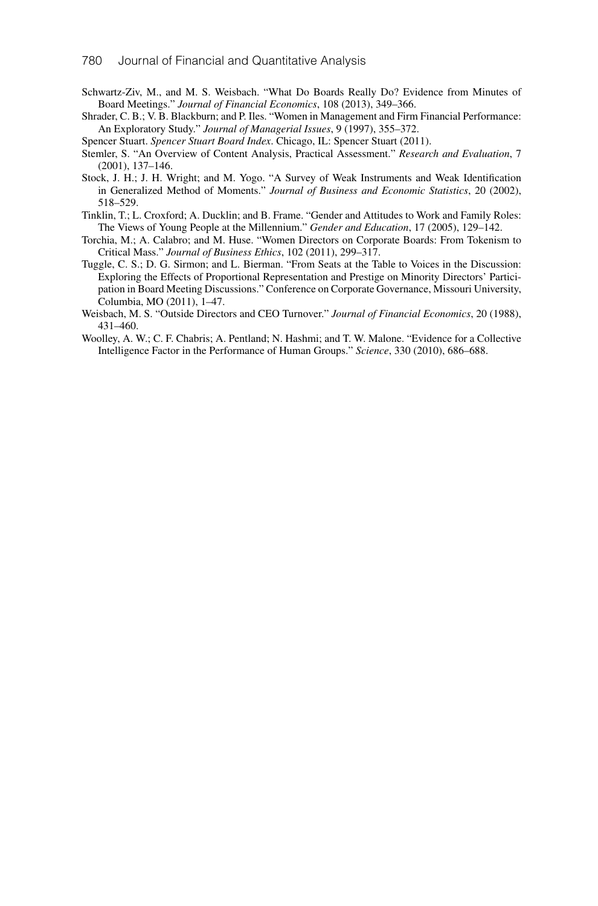- <span id="page-29-5"></span><span id="page-29-0"></span>Schwartz-Ziv, M., and M. S. Weisbach. "What Do Boards Really Do? Evidence from Minutes of Board Meetings." *Journal of Financial Economics*, 108 (2013), 349–366.
- <span id="page-29-1"></span>Shrader, C. B.; V. B. Blackburn; and P. Iles. "Women in Management and Firm Financial Performance: An Exploratory Study." *Journal of Managerial Issues*, 9 (1997), 355–372.
- <span id="page-29-6"></span>Spencer Stuart. *Spencer Stuart Board Index*. Chicago, IL: Spencer Stuart (2011).
- Stemler, S. "An Overview of Content Analysis, Practical Assessment." *Research and Evaluation*, 7 (2001), 137–146.
- <span id="page-29-7"></span>Stock, J. H.; J. H. Wright; and M. Yogo. "A Survey of Weak Instruments and Weak Identification in Generalized Method of Moments." *Journal of Business and Economic Statistics*, 20 (2002), 518–529.
- Tinklin, T.; L. Croxford; A. Ducklin; and B. Frame. "Gender and Attitudes to Work and Family Roles: The Views of Young People at the Millennium." *Gender and Education*, 17 (2005), 129–142.
- <span id="page-29-4"></span>Torchia, M.; A. Calabro; and M. Huse. "Women Directors on Corporate Boards: From Tokenism to Critical Mass." *Journal of Business Ethics*, 102 (2011), 299–317.
- <span id="page-29-3"></span>Tuggle, C. S.; D. G. Sirmon; and L. Bierman. "From Seats at the Table to Voices in the Discussion: Exploring the Effects of Proportional Representation and Prestige on Minority Directors' Participation in Board Meeting Discussions." Conference on Corporate Governance, Missouri University, Columbia, MO (2011), 1–47.
- <span id="page-29-8"></span>Weisbach, M. S. "Outside Directors and CEO Turnover." *Journal of Financial Economics*, 20 (1988), 431–460.
- <span id="page-29-2"></span>Woolley, A. W.; C. F. Chabris; A. Pentland; N. Hashmi; and T. W. Malone. "Evidence for a Collective Intelligence Factor in the Performance of Human Groups." *Science*, 330 (2010), 686–688.